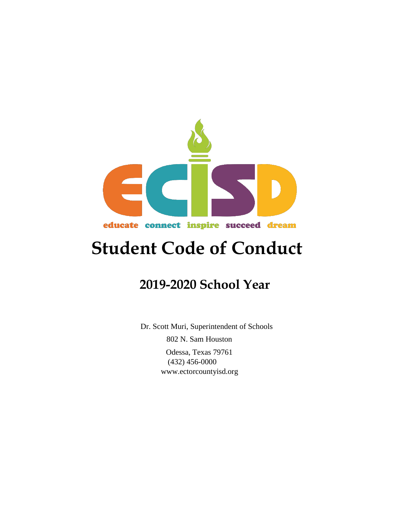

# **Student Code of Conduct**

# **2019-2020 School Year**

 Dr. Scott Muri, Superintendent of Schools 802 N. Sam Houston Odessa, Texas 79761 (432) 456-0000 [www.ectorcountyisd.org](http://www.ectorcountyisd.org/)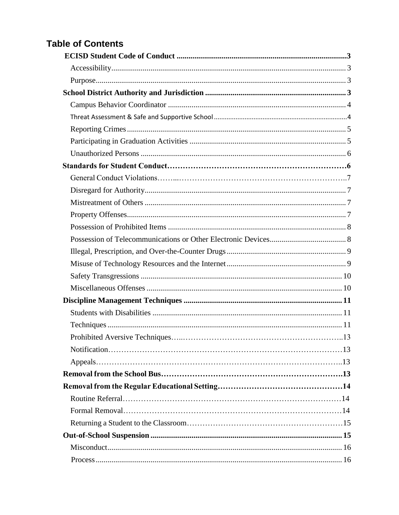# **Table of Contents**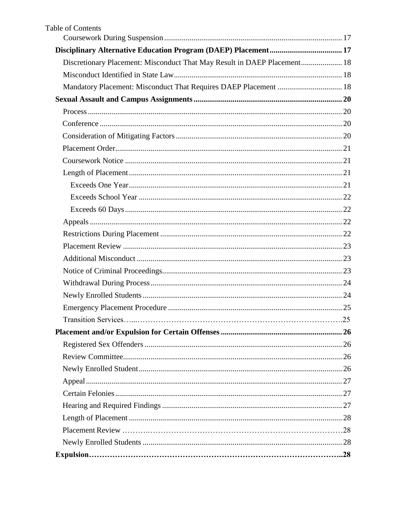| <b>Table of Contents</b>                                                 |  |
|--------------------------------------------------------------------------|--|
|                                                                          |  |
|                                                                          |  |
| Discretionary Placement: Misconduct That May Result in DAEP Placement 18 |  |
|                                                                          |  |
| Mandatory Placement: Misconduct That Requires DAEP Placement  18         |  |
|                                                                          |  |
|                                                                          |  |
|                                                                          |  |
|                                                                          |  |
|                                                                          |  |
|                                                                          |  |
|                                                                          |  |
|                                                                          |  |
|                                                                          |  |
|                                                                          |  |
|                                                                          |  |
|                                                                          |  |
|                                                                          |  |
|                                                                          |  |
|                                                                          |  |
|                                                                          |  |
|                                                                          |  |
|                                                                          |  |
|                                                                          |  |
|                                                                          |  |
|                                                                          |  |
|                                                                          |  |
|                                                                          |  |
|                                                                          |  |
|                                                                          |  |
|                                                                          |  |
|                                                                          |  |
|                                                                          |  |
|                                                                          |  |
|                                                                          |  |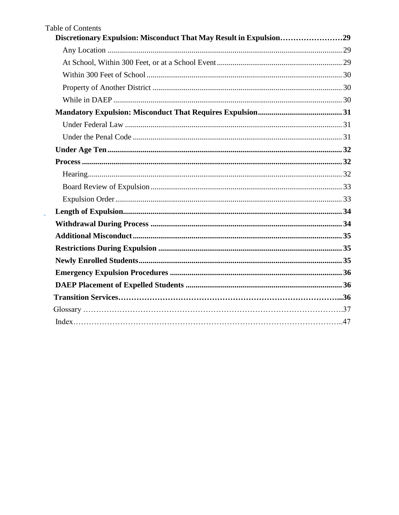| <b>Table of Contents</b>                                           |  |
|--------------------------------------------------------------------|--|
| Discretionary Expulsion: Misconduct That May Result in Expulsion29 |  |
|                                                                    |  |
|                                                                    |  |
|                                                                    |  |
|                                                                    |  |
|                                                                    |  |
|                                                                    |  |
|                                                                    |  |
|                                                                    |  |
|                                                                    |  |
|                                                                    |  |
|                                                                    |  |
|                                                                    |  |
|                                                                    |  |
|                                                                    |  |
|                                                                    |  |
|                                                                    |  |
|                                                                    |  |
|                                                                    |  |
|                                                                    |  |
|                                                                    |  |
|                                                                    |  |
|                                                                    |  |
|                                                                    |  |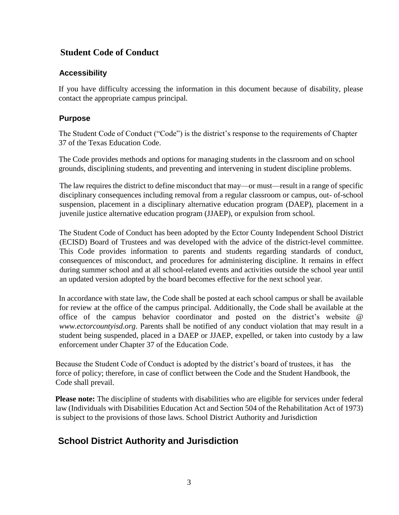# **Student Code of Conduct**

#### <span id="page-5-0"></span>**Accessibility**

If you have difficulty accessing the information in this document because of disability, please contact the appropriate campus principal*.*

#### <span id="page-5-1"></span>**Purpose**

The Student Code of Conduct ("Code") is the district's response to the requirements of Chapter 37 of the Texas Education Code.

The Code provides methods and options for managing students in the classroom and on school grounds, disciplining students, and preventing and intervening in student discipline problems.

The law requires the district to define misconduct that may—or must—result in a range of specific disciplinary consequences including removal from a regular classroom or campus, out- of-school suspension, placement in a disciplinary alternative education program (DAEP), placement in a juvenile justice alternative education program (JJAEP), or expulsion from school.

The Student Code of Conduct has been adopted by the Ector County Independent School District (ECISD) Board of Trustees and was developed with the advice of the district-level committee. This Code provides information to parents and students regarding standards of conduct, consequences of misconduct, and procedures for administering discipline. It remains in effect during summer school and at all school-related events and activities outside the school year until an updated version adopted by the board becomes effective for the next school year.

In accordance with state law, the Code shall be posted at each school campus or shall be available for review at the office of the campus principal. Additionally, the Code shall be available at the office of the campus behavior coordinator and posted on the district's website [@](http://www.ectorcountyisd.org/)  *[www.ectorcountyisd.org](http://www.ectorcountyisd.org/)*[.](http://www.ectorcountyisd.org/) [Pa](http://www.ectorcountyisd.org/)rents shall be notified of any conduct violation that may result in a student being suspended, placed in a DAEP or JJAEP, expelled, or taken into custody by a law enforcement under Chapter 37 of the Education Code.

Because the Student Code of Conduct is adopted by the district's board of trustees, it has the force of policy; therefore, in case of conflict between the Code and the Student Handbook, the Code shall prevail.

**Please note:** The discipline of students with disabilities who are eligible for services under federal law (Individuals with Disabilities Education Act and Section 504 of the Rehabilitation Act of 1973) is subject to the provisions of those laws. School District Authority and Jurisdiction

# <span id="page-5-2"></span>**School District Authority and Jurisdiction**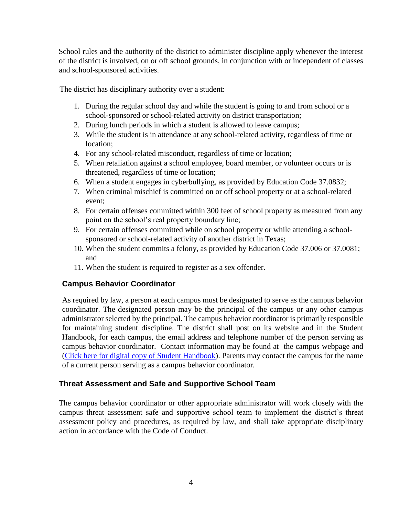School rules and the authority of the district to administer discipline apply whenever the interest of the district is involved, on or off school grounds, in conjunction with or independent of classes and school-sponsored activities.

The district has disciplinary authority over a student:

- 1. During the regular school day and while the student is going to and from school or a school-sponsored or school-related activity on district transportation;
- 2. During lunch periods in which a student is allowed to leave campus;
- 3. While the student is in attendance at any school-related activity, regardless of time or location;
- 4. For any school-related misconduct, regardless of time or location;
- 5. When retaliation against a school employee, board member, or volunteer occurs or is threatened, regardless of time or location;
- 6. When a student engages in cyberbullying, as provided by Education Code 37.0832;
- 7. When criminal mischief is committed on or off school property or at a school-related event;
- 8. For certain offenses committed within 300 feet of school property as measured from any point on the school's real property boundary line;
- 9. For certain offenses committed while on school property or while attending a schoolsponsored or school-related activity of another district in Texas;
- 10. When the student commits a felony, as provided by Education Code 37.006 or 37.0081; and
- 11. When the student is required to register as a sex offender.

#### <span id="page-6-0"></span>**Campus Behavior Coordinator**

As required by law, a person at each campus must be designated to serve as the campus behavior coordinator. The designated person may be the principal of the campus or any other campus administrator selected by the principal. The campus behavior coordinator is primarily responsible for maintaining student discipline. The district shall post on its website and in the Student Handbook, for each campus, the email address and telephone number of the person serving as campus behavior coordinator. Contact information may be found at the campus webpage and [\(Click here for digital copy of Student Handbook\)](Click%20here%20for%20digital%20copy%20of%20Student%20Handbook). Parents may contact the campus for the name of a current person serving as a campus behavior coordinator*[.](http://www.ectorcountyisd.org/)*

#### **Threat Assessment and Safe and Supportive School Team**

The campus behavior coordinator or other appropriate administrator will work closely with the campus threat assessment safe and supportive school team to implement the district's threat assessment policy and procedures, as required by law, and shall take appropriate disciplinary action in accordance with the Code of Conduct.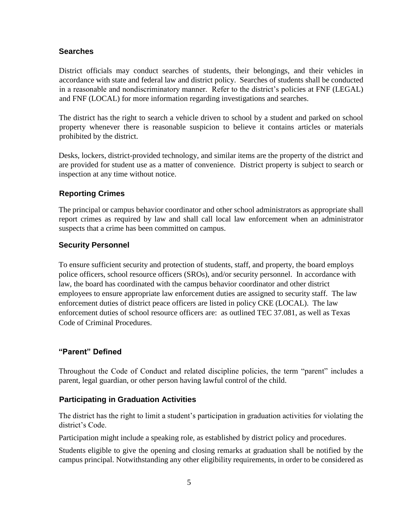#### **Searches**

District officials may conduct searches of students, their belongings, and their vehicles in accordance with state and federal law and district policy. Searches of students shall be conducted in a reasonable and nondiscriminatory manner. Refer to the district's policies at FNF (LEGAL) and FNF (LOCAL) for more information regarding investigations and searches.

The district has the right to search a vehicle driven to school by a student and parked on school property whenever there is reasonable suspicion to believe it contains articles or materials prohibited by the district.

Desks, lockers, district-provided technology, and similar items are the property of the district and are provided for student use as a matter of convenience. District property is subject to search or inspection at any time without notice.

# <span id="page-7-0"></span>**Reporting Crimes**

The principal or campus behavior coordinator and other school administrators as appropriate shall report crimes as required by law and shall call local law enforcement when an administrator suspects that a crime has been committed on campus.

#### **Security Personnel**

To ensure sufficient security and protection of students, staff, and property, the board employs police officers, school resource officers (SROs), and/or security personnel. In accordance with law, the board has coordinated with the campus behavior coordinator and other district employees to ensure appropriate law enforcement duties are assigned to security staff. The law enforcement duties of district peace officers are listed in policy CKE (LOCAL). The law enforcement duties of school resource officers are: as outlined TEC 37.081, as well as Texas Code of Criminal Procedures.

#### **"Parent" Defined**

Throughout the Code of Conduct and related discipline policies, the term "parent" includes a parent, legal guardian, or other person having lawful control of the child.

#### <span id="page-7-1"></span>**Participating in Graduation Activities**

The district has the right to limit a student's participation in graduation activities for violating the district's Code.

Participation might include a speaking role, as established by district policy and procedures.

Students eligible to give the opening and closing remarks at graduation shall be notified by the campus principal. Notwithstanding any other eligibility requirements, in order to be considered as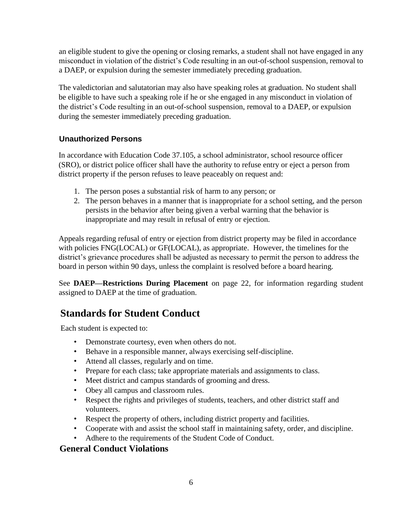an eligible student to give the opening or closing remarks, a student shall not have engaged in any misconduct in violation of the district's Code resulting in an out-of-school suspension, removal to a DAEP, or expulsion during the semester immediately preceding graduation.

The valedictorian and salutatorian may also have speaking roles at graduation. No student shall be eligible to have such a speaking role if he or she engaged in any misconduct in violation of the district's Code resulting in an out-of-school suspension, removal to a DAEP, or expulsion during the semester immediately preceding graduation.

# <span id="page-8-0"></span>**Unauthorized Persons**

In accordance with Education Code 37.105, a school administrator, school resource officer (SRO), or district police officer shall have the authority to refuse entry or eject a person from district property if the person refuses to leave peaceably on request and:

- 1. The person poses a substantial risk of harm to any person; or
- 2. The person behaves in a manner that is inappropriate for a school setting, and the person persists in the behavior after being given a verbal warning that the behavior is inappropriate and may result in refusal of entry or ejection.

Appeals regarding refusal of entry or ejection from district property may be filed in accordance with policies FNG(LOCAL) or GF(LOCAL), as appropriate. However, the timelines for the district's grievance procedures shall be adjusted as necessary to permit the person to address the board in person within 90 days, unless the complaint is resolved before a board hearing.

See **DAEP—Restrictions During Placement** on page 22, for information regarding student assigned to DAEP at the time of graduation.

# **Standards for Student Conduct**

Each student is expected to:

- Demonstrate courtesy, even when others do not.
- Behave in a responsible manner, always exercising self-discipline.
- Attend all classes, regularly and on time.
- Prepare for each class; take appropriate materials and assignments to class.
- Meet district and campus standards of grooming and dress.
- Obey all campus and classroom rules.
- Respect the rights and privileges of students, teachers, and other district staff and volunteers.
- Respect the property of others, including district property and facilities.
- Cooperate with and assist the school staff in maintaining safety, order, and discipline.
- Adhere to the requirements of the Student Code of Conduct.

# **General Conduct Violations**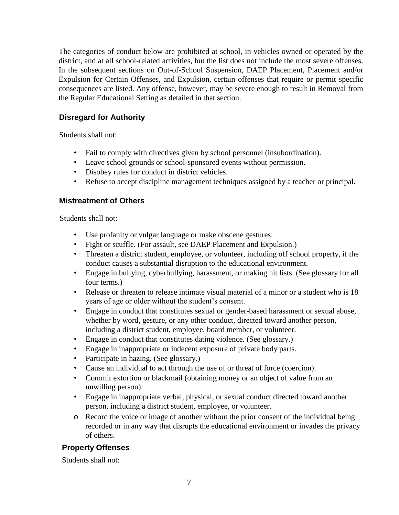The categories of conduct below are prohibited at school, in vehicles owned or operated by the district, and at all school-related activities, but the list does not include the most severe offenses. In the subsequent sections on Out-of-School Suspension, DAEP Placement, Placement and/or Expulsion for Certain Offenses, and Expulsion, certain offenses that require or permit specific consequences are listed. Any offense, however, may be severe enough to result in Removal from the Regular Educational Setting as detailed in that section.

# <span id="page-9-0"></span>**Disregard for Authority**

Students shall not:

- Fail to comply with directives given by school personnel (insubordination).
- Leave school grounds or school-sponsored events without permission.
- Disobey rules for conduct in district vehicles.
- Refuse to accept discipline management techniques assigned by a teacher or principal.

#### <span id="page-9-1"></span>**Mistreatment of Others**

Students shall not:

- Use profanity or vulgar language or make obscene gestures.
- Fight or scuffle. (For assault, see DAEP Placement and Expulsion.)
- Threaten a district student, employee, or volunteer, including off school property, if the conduct causes a substantial disruption to the educational environment.
- Engage in bullying, cyberbullying, harassment, or making hit lists. (See glossary for all four terms.)
- Release or threaten to release intimate visual material of a minor or a student who is 18 years of age or older without the student's consent.
- Engage in conduct that constitutes sexual or gender-based harassment or sexual abuse, whether by word, gesture, or any other conduct, directed toward another person, including a district student, employee, board member, or volunteer.
- Engage in conduct that constitutes dating violence. (See glossary.)
- Engage in inappropriate or indecent exposure of private body parts.
- Participate in hazing. (See glossary.)
- Cause an individual to act through the use of or threat of force (coercion).
- Commit extortion or blackmail (obtaining money or an object of value from an unwilling person).
- Engage in inappropriate verbal, physical, or sexual conduct directed toward another person, including a district student, employee, or volunteer.
- o Record the voice or image of another without the prior consent of the individual being recorded or in any way that disrupts the educational environment or invades the privacy of others.

# <span id="page-9-2"></span>**Property Offenses**

Students shall not: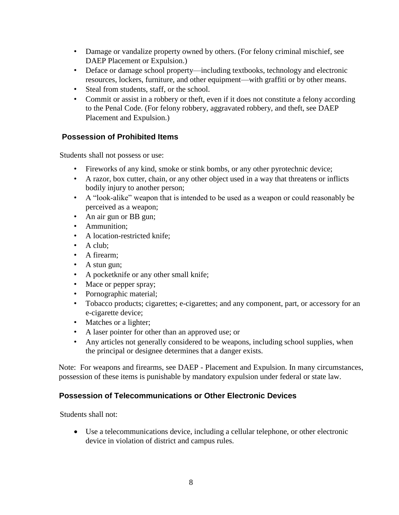- Damage or vandalize property owned by others. (For felony criminal mischief, see DAEP Placement or Expulsion.)
- Deface or damage school property—including textbooks, technology and electronic resources, lockers, furniture, and other equipment—with graffiti or by other means.
- Steal from students, staff, or the school.
- Commit or assist in a robbery or theft, even if it does not constitute a felony according to the Penal Code. (For felony robbery, aggravated robbery, and theft, see DAEP Placement and Expulsion.)

# <span id="page-10-0"></span>**Possession of Prohibited Items**

Students shall not possess or use:

- Fireworks of any kind, smoke or stink bombs, or any other pyrotechnic device;
- A razor, box cutter, chain, or any other object used in a way that threatens or inflicts bodily injury to another person;
- A "look-alike" weapon that is intended to be used as a weapon or could reasonably be perceived as a weapon;
- An air gun or BB gun;
- Ammunition;
- A location-restricted knife;
- A club:
- A firearm;
- A stun gun;
- A pocketknife or any other small knife;
- Mace or pepper spray;
- Pornographic material;
- Tobacco products; cigarettes; e-cigarettes; and any component, part, or accessory for an e-cigarette device;
- Matches or a lighter;
- A laser pointer for other than an approved use; or
- Any articles not generally considered to be weapons, including school supplies, when the principal or designee determines that a danger exists.

Note: For weapons and firearms, see DAEP - Placement and Expulsion. In many circumstances, possession of these items is punishable by mandatory expulsion under federal or state law.

#### <span id="page-10-1"></span>**Possession of Telecommunications or Other Electronic Devices**

Students shall not:

• Use a telecommunications device, including a cellular telephone, or other electronic device in violation of district and campus rules.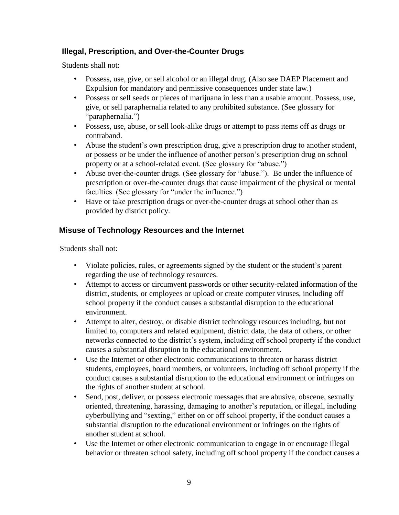# <span id="page-11-0"></span>**Illegal, Prescription, and Over-the-Counter Drugs**

Students shall not:

- Possess, use, give, or sell alcohol or an illegal drug. (Also see DAEP Placement and Expulsion for mandatory and permissive consequences under state law.)
- Possess or sell seeds or pieces of marijuana in less than a usable amount. Possess, use, give, or sell paraphernalia related to any prohibited substance. (See glossary for "paraphernalia.")
- Possess, use, abuse, or sell look-alike drugs or attempt to pass items off as drugs or contraband.
- Abuse the student's own prescription drug, give a prescription drug to another student, or possess or be under the influence of another person's prescription drug on school property or at a school-related event. (See glossary for "abuse.")
- Abuse over-the-counter drugs. (See glossary for "abuse."). Be under the influence of prescription or over-the-counter drugs that cause impairment of the physical or mental faculties. (See glossary for "under the influence.")
- Have or take prescription drugs or over-the-counter drugs at school other than as provided by district policy.

# <span id="page-11-1"></span>**Misuse of Technology Resources and the Internet**

Students shall not:

- Violate policies, rules, or agreements signed by the student or the student's parent regarding the use of technology resources.
- Attempt to access or circumvent passwords or other security-related information of the district, students, or employees or upload or create computer viruses, including off school property if the conduct causes a substantial disruption to the educational environment.
- Attempt to alter, destroy, or disable district technology resources including, but not limited to, computers and related equipment, district data, the data of others, or other networks connected to the district's system, including off school property if the conduct causes a substantial disruption to the educational environment.
- Use the Internet or other electronic communications to threaten or harass district students, employees, board members, or volunteers, including off school property if the conduct causes a substantial disruption to the educational environment or infringes on the rights of another student at school.
- Send, post, deliver, or possess electronic messages that are abusive, obscene, sexually oriented, threatening, harassing, damaging to another's reputation, or illegal, including cyberbullying and "sexting," either on or off school property, if the conduct causes a substantial disruption to the educational environment or infringes on the rights of another student at school.
- Use the Internet or other electronic communication to engage in or encourage illegal behavior or threaten school safety, including off school property if the conduct causes a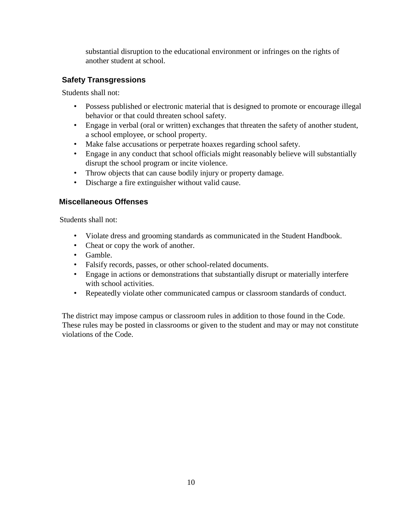substantial disruption to the educational environment or infringes on the rights of another student at school.

# <span id="page-12-0"></span>**Safety Transgressions**

Students shall not:

- Possess published or electronic material that is designed to promote or encourage illegal behavior or that could threaten school safety.
- Engage in verbal (oral or written) exchanges that threaten the safety of another student, a school employee, or school property.
- Make false accusations or perpetrate hoaxes regarding school safety.
- Engage in any conduct that school officials might reasonably believe will substantially disrupt the school program or incite violence.
- Throw objects that can cause bodily injury or property damage.
- Discharge a fire extinguisher without valid cause.

#### <span id="page-12-1"></span>**Miscellaneous Offenses**

Students shall not:

- Violate dress and grooming standards as communicated in the Student Handbook.
- Cheat or copy the work of another.
- Gamble.
- Falsify records, passes, or other school-related documents.
- Engage in actions or demonstrations that substantially disrupt or materially interfere with school activities.
- Repeatedly violate other communicated campus or classroom standards of conduct.

The district may impose campus or classroom rules in addition to those found in the Code. These rules may be posted in classrooms or given to the student and may or may not constitute violations of the Code.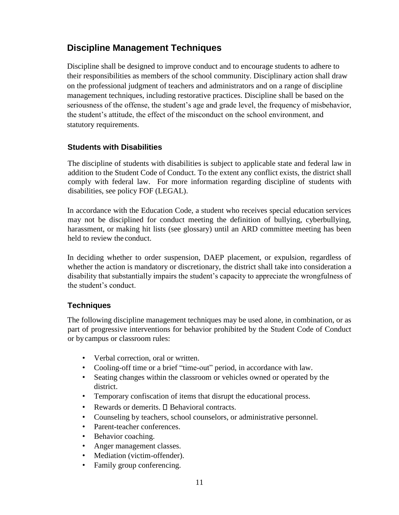# <span id="page-13-0"></span>**Discipline Management Techniques**

Discipline shall be designed to improve conduct and to encourage students to adhere to their responsibilities as members of the school community. Disciplinary action shall draw on the professional judgment of teachers and administrators and on a range of discipline management techniques, including restorative practices. Discipline shall be based on the seriousness of the offense, the student's age and grade level, the frequency of misbehavior, the student's attitude, the effect of the misconduct on the school environment, and statutory requirements.

#### <span id="page-13-1"></span>**Students with Disabilities**

The discipline of students with disabilities is subject to applicable state and federal law in addition to the Student Code of Conduct. To the extent any conflict exists, the district shall comply with federal law. For more information regarding discipline of students with disabilities, see policy FOF (LEGAL).

In accordance with the Education Code, a student who receives special education services may not be disciplined for conduct meeting the definition of bullying, cyberbullying, harassment, or making hit lists (see glossary) until an ARD committee meeting has been held to review the conduct.

In deciding whether to order suspension, DAEP placement, or expulsion, regardless of whether the action is mandatory or discretionary, the district shall take into consideration a disability that substantially impairs the student's capacity to appreciate the wrongfulness of the student's conduct.

#### <span id="page-13-2"></span>**Techniques**

The following discipline management techniques may be used alone, in combination, or as part of progressive interventions for behavior prohibited by the Student Code of Conduct or bycampus or classroom rules:

- Verbal correction, oral or written.
- Cooling-off time or a brief "time-out" period, in accordance with law.
- Seating changes within the classroom or vehicles owned or operated by the district.
- Temporary confiscation of items that disrupt the educational process.
- Rewards or demerits.  $\square$  Behavioral contracts.
- Counseling by teachers, school counselors, or administrative personnel.
- Parent-teacher conferences.
- Behavior coaching.
- Anger management classes.
- Mediation (victim-offender).
- Family group conferencing.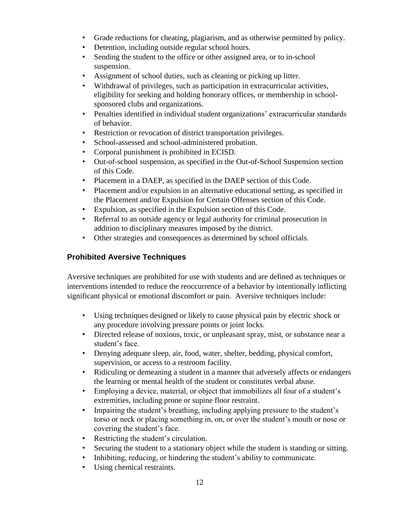- Grade reductions for cheating, plagiarism, and as otherwise permitted by policy.
- Detention, including outside regular school hours.
- Sending the student to the office or other assigned area, or to in-school suspension.
- Assignment of school duties, such as cleaning or picking up litter.
- Withdrawal of privileges, such as participation in extracurricular activities, eligibility for seeking and holding honorary offices, or membership in schoolsponsored clubs and organizations.
- Penalties identified in individual student organizations' extracurricular standards of behavior.
- Restriction or revocation of district transportation privileges.
- School-assessed and school-administered probation.
- Corporal punishment is prohibited in ECISD.
- Out-of-school suspension, as specified in the Out-of-School Suspension section of this Code.
- Placement in a DAEP, as specified in the DAEP section of this Code.
- Placement and/or expulsion in an alternative educational setting, as specified in the Placement and/or Expulsion for Certain Offenses section of this Code.
- Expulsion, as specified in the Expulsion section of this Code.
- Referral to an outside agency or legal authority for criminal prosecution in addition to disciplinary measures imposed by the district.
- Other strategies and consequences as determined by school officials.

# **Prohibited Aversive Techniques**

Aversive techniques are prohibited for use with students and are defined as techniques or interventions intended to reduce the reoccurrence of a behavior by intentionally inflicting significant physical or emotional discomfort or pain. Aversive techniques include:

- Using techniques designed or likely to cause physical pain by electric shock or any procedure involving pressure points or joint locks.
- Directed release of noxious, toxic, or unpleasant spray, mist, or substance near a student's face.
- Denying adequate sleep, air, food, water, shelter, bedding, physical comfort, supervision, or access to a restroom facility.
- Ridiculing or demeaning a student in a manner that adversely affects or endangers the learning or mental health of the student or constitutes verbal abuse.
- Employing a device, material, or object that immobilizes all four of a student's extremities, including prone or supine floor restraint.
- Impairing the student's breathing, including applying pressure to the student's torso or neck or placing something in, on, or over the student's mouth or nose or covering the student's face.
- Restricting the student's circulation.
- Securing the student to a stationary object while the student is standing or sitting.
- Inhibiting, reducing, or hindering the student's ability to communicate.
- Using chemical restraints.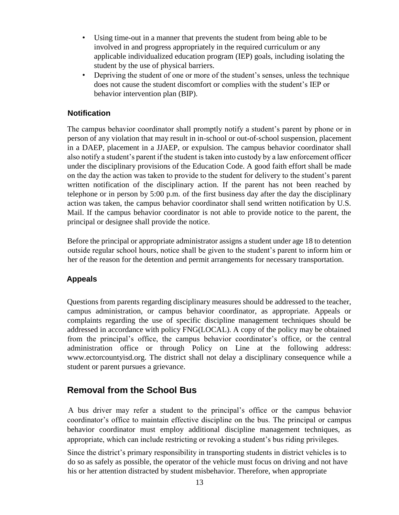- Using time-out in a manner that prevents the student from being able to be involved in and progress appropriately in the required curriculum or any applicable individualized education program (IEP) goals, including isolating the student by the use of physical barriers.
- Depriving the student of one or more of the student's senses, unless the technique does not cause the student discomfort or complies with the student's IEP or behavior intervention plan (BIP).

#### <span id="page-15-0"></span>**Notification**

The campus behavior coordinator shall promptly notify a student's parent by phone or in person of any violation that may result in in-school or out-of-school suspension, placement in a DAEP, placement in a JJAEP, or expulsion. The campus behavior coordinator shall also notify a student's parent if the student is taken into custody by a law enforcement officer under the disciplinary provisions of the Education Code. A good faith effort shall be made on the day the action was taken to provide to the student for delivery to the student's parent written notification of the disciplinary action. If the parent has not been reached by telephone or in person by 5:00 p.m. of the first business day after the day the disciplinary action was taken, the campus behavior coordinator shall send written notification by U.S. Mail. If the campus behavior coordinator is not able to provide notice to the parent, the principal or designee shall provide the notice.

Before the principal or appropriate administrator assigns a student under age 18 to detention outside regular school hours, notice shall be given to the student's parent to inform him or her of the reason for the detention and permit arrangements for necessary transportation.

#### <span id="page-15-1"></span>**Appeals**

Questions from parents regarding disciplinary measures should be addressed to the teacher, campus administration, or campus behavior coordinator, as appropriate. Appeals or complaints regarding the use of specific discipline management techniques should be addressed in accordance with policy FNG(LOCAL). A copy of the policy may be obtained from the principal's office, the campus behavior coordinator's office, or the central administration office or through Policy on Line at the following address[:](http://www.ectorcountyisd.org/) [www.ectorcountyisd.org.](http://www.ectorcountyisd.org/) [T](http://www.ectorcountyisd.org/)he district shall not delay a disciplinary consequence while a student or parent pursues a grievance.

# <span id="page-15-2"></span>**Removal from the School Bus**

A bus driver may refer a student to the principal's office or the campus behavior coordinator's office to maintain effective discipline on the bus. The principal or campus behavior coordinator must employ additional discipline management techniques, as appropriate, which can include restricting or revoking a student's bus riding privileges.

Since the district's primary responsibility in transporting students in district vehicles is to do so as safely as possible, the operator of the vehicle must focus on driving and not have his or her attention distracted by student misbehavior. Therefore, when appropriate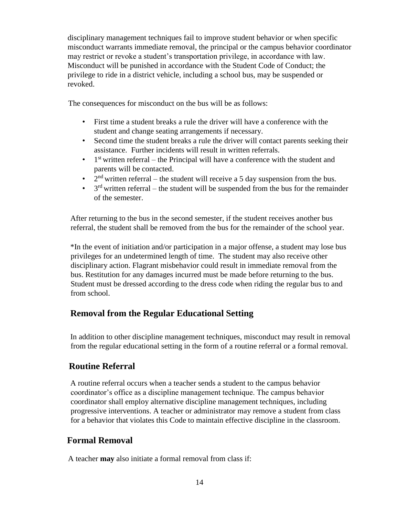disciplinary management techniques fail to improve student behavior or when specific misconduct warrants immediate removal, the principal or the campus behavior coordinator may restrict or revoke a student's transportation privilege, in accordance with law. Misconduct will be punished in accordance with the Student Code of Conduct; the privilege to ride in a district vehicle, including a school bus, may be suspended or revoked.

The consequences for misconduct on the bus will be as follows:

- First time a student breaks a rule the driver will have a conference with the student and change seating arrangements if necessary.
- Second time the student breaks a rule the driver will contact parents seeking their assistance. Further incidents will result in written referrals.
- $\bullet$  1<sup>st</sup> written referral the Principal will have a conference with the student and parents will be contacted.
- $2<sup>nd</sup>$  written referral the student will receive a 5 day suspension from the bus.
- $\bullet$  3<sup>rd</sup> written referral the student will be suspended from the bus for the remainder of the semester.

After returning to the bus in the second semester, if the student receives another bus referral, the student shall be removed from the bus for the remainder of the school year.

\*In the event of initiation and/or participation in a major offense, a student may lose bus privileges for an undetermined length of time. The student may also receive other disciplinary action. Flagrant misbehavior could result in immediate removal from the bus. Restitution for any damages incurred must be made before returning to the bus. Student must be dressed according to the dress code when riding the regular bus to and from school.

# **Removal from the Regular Educational Setting**

In addition to other discipline management techniques, misconduct may result in removal from the regular educational setting in the form of a routine referral or a formal removal.

# <span id="page-16-0"></span>**Routine Referral**

A routine referral occurs when a teacher sends a student to the campus behavior coordinator's office as a discipline management technique. The campus behavior coordinator shall employ alternative discipline management techniques, including progressive interventions. A teacher or administrator may remove a student from class for a behavior that violates this Code to maintain effective discipline in the classroom.

# <span id="page-16-1"></span>**Formal Removal**

A teacher **may** also initiate a formal removal from class if: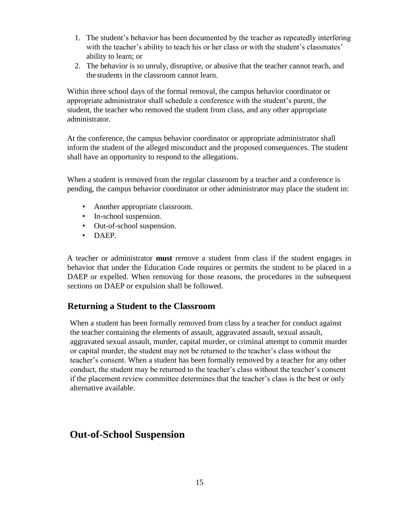- 1. The student's behavior has been documented by the teacher as repeatedly interfering with the teacher's ability to teach his or her class or with the student's classmates' ability to learn; or
- 2. The behavior is so unruly, disruptive, or abusive that the teacher cannot teach, and the students in the classroom cannot learn.

Within three school days of the formal removal, the campus behavior coordinator or appropriate administrator shall schedule a conference with the student's parent, the student, the teacher who removed the student from class, and any other appropriate administrator.

At the conference, the campus behavior coordinator or appropriate administrator shall inform the student of the alleged misconduct and the proposed consequences. The student shall have an opportunity to respond to the allegations.

When a student is removed from the regular classroom by a teacher and a conference is pending, the campus behavior coordinator or other administrator may place the student in:

- Another appropriate classroom.
- In-school suspension.
- Out-of-school suspension.
- DAEP.

A teacher or administrator **must** remove a student from class if the student engages in behavior that under the Education Code requires or permits the student to be placed in a DAEP or expelled. When removing for those reasons, the procedures in the subsequent sections on DAEP or expulsion shall be followed.

#### <span id="page-17-0"></span>**Returning a Student to the Classroom**

When a student has been formally removed from class by a teacher for conduct against the teacher containing the elements of assault, aggravated assault, sexual assault, aggravated sexual assault, murder, capital murder, or criminal attempt to commit murder or capital murder, the student may not be returned to the teacher's class without the teacher's consent. When a student has been formally removed by a teacher for any other conduct, the student may be returned to the teacher's class without the teacher's consent if the placement review committee determines that the teacher's class is the best or only alternative available.

# <span id="page-17-1"></span>**Out-of-School Suspension**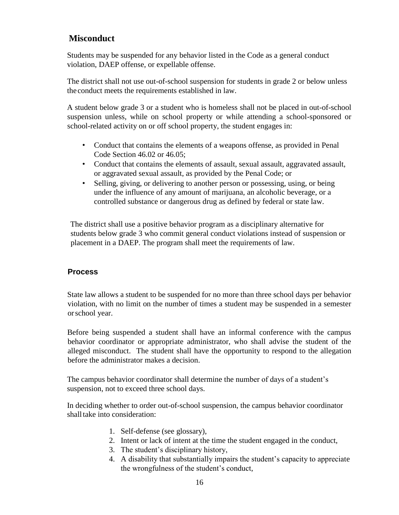# <span id="page-18-0"></span>**Misconduct**

Students may be suspended for any behavior listed in the Code as a general conduct violation, DAEP offense, or expellable offense.

The district shall not use out-of-school suspension for students in grade 2 or below unless the conduct meets the requirements established in law.

A student below grade 3 or a student who is homeless shall not be placed in out-of-school suspension unless, while on school property or while attending a school-sponsored or school-related activity on or off school property, the student engages in:

- Conduct that contains the elements of a weapons offense, as provided in Penal Code Section 46.02 or 46.05;
- Conduct that contains the elements of assault, sexual assault, aggravated assault, or aggravated sexual assault, as provided by the Penal Code; or
- Selling, giving, or delivering to another person or possessing, using, or being under the influence of any amount of marijuana, an alcoholic beverage, or a controlled substance or dangerous drug as defined by federal or state law.

The district shall use a positive behavior program as a disciplinary alternative for students below grade 3 who commit general conduct violations instead of suspension or placement in a DAEP. The program shall meet the requirements of law.

#### <span id="page-18-1"></span>**Process**

State law allows a student to be suspended for no more than three school days per behavior violation, with no limit on the number of times a student may be suspended in a semester orschool year.

Before being suspended a student shall have an informal conference with the campus behavior coordinator or appropriate administrator, who shall advise the student of the alleged misconduct. The student shall have the opportunity to respond to the allegation before the administrator makes a decision.

The campus behavior coordinator shall determine the number of days of a student's suspension, not to exceed three school days.

In deciding whether to order out-of-school suspension, the campus behavior coordinator shall take into consideration:

- 1. Self-defense (see glossary),
- 2. Intent or lack of intent at the time the student engaged in the conduct,
- 3. The student's disciplinary history,
- 4. A disability that substantially impairs the student's capacity to appreciate the wrongfulness of the student's conduct,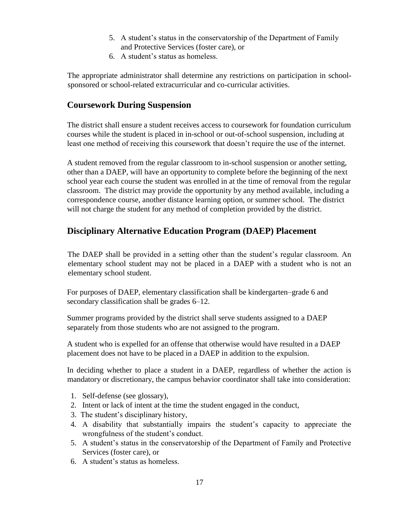- 5. A student's status in the conservatorship of the Department of Family and Protective Services (foster care), or
- 6. A student's status as homeless.

The appropriate administrator shall determine any restrictions on participation in schoolsponsored or school-related extracurricular and co-curricular activities.

# <span id="page-19-0"></span>**Coursework During Suspension**

The district shall ensure a student receives access to coursework for foundation curriculum courses while the student is placed in in-school or out-of-school suspension, including at least one method of receiving this coursework that doesn't require the use of the internet.

A student removed from the regular classroom to in-school suspension or another setting, other than a DAEP, will have an opportunity to complete before the beginning of the next school year each course the student was enrolled in at the time of removal from the regular classroom. The district may provide the opportunity by any method available, including a correspondence course, another distance learning option, or summer school. The district will not charge the student for any method of completion provided by the district.

# <span id="page-19-1"></span>**Disciplinary Alternative Education Program (DAEP) Placement**

The DAEP shall be provided in a setting other than the student's regular classroom. An elementary school student may not be placed in a DAEP with a student who is not an elementary school student.

For purposes of DAEP, elementary classification shall be kindergarten–grade 6 and secondary classification shall be grades 6–12.

Summer programs provided by the district shall serve students assigned to a DAEP separately from those students who are not assigned to the program.

A student who is expelled for an offense that otherwise would have resulted in a DAEP placement does not have to be placed in a DAEP in addition to the expulsion.

In deciding whether to place a student in a DAEP, regardless of whether the action is mandatory or discretionary, the campus behavior coordinator shall take into consideration:

- 1. Self-defense (see glossary),
- 2. Intent or lack of intent at the time the student engaged in the conduct,
- 3. The student's disciplinary history,
- 4. A disability that substantially impairs the student's capacity to appreciate the wrongfulness of the student's conduct.
- 5. A student's status in the conservatorship of the Department of Family and Protective Services (foster care), or
- 6. A student's status as homeless.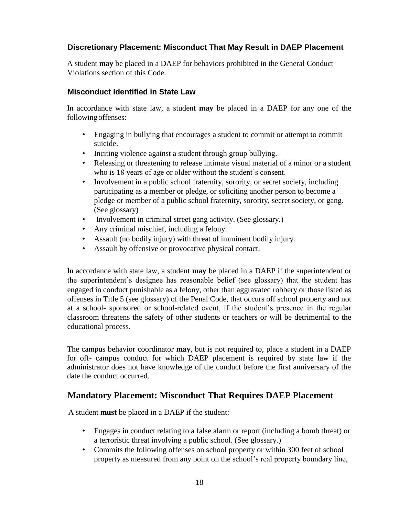#### <span id="page-20-0"></span>**Discretionary Placement: Misconduct That May Result in DAEP Placement**

A student **may** be placed in a DAEP for behaviors prohibited in the General Conduct Violations section of this Code.

#### <span id="page-20-1"></span>**Misconduct Identified in State Law**

In accordance with state law, a student **may** be placed in a DAEP for any one of the followingoffenses:

- Engaging in bullying that encourages a student to commit or attempt to commit suicide.
- Inciting violence against a student through group bullying.
- Releasing or threatening to release intimate visual material of a minor or a student who is 18 years of age or older without the student's consent.
- Involvement in a public school fraternity, sorority, or secret society, including participating as a member or pledge, or soliciting another person to become a pledge or member of a public school fraternity, sorority, secret society, or gang. (See glossary)
- Involvement in criminal street gang activity. (See glossary.)
- Any criminal mischief, including a felony.
- Assault (no bodily injury) with threat of imminent bodily injury.
- Assault by offensive or provocative physical contact.

In accordance with state law, a student **may** be placed in a DAEP if the superintendent or the superintendent's designee has reasonable belief (see glossary) that the student has engaged in conduct punishable as a felony, other than aggravated robbery or those listed as offenses in Title 5 (see glossary) of the Penal Code, that occurs off school property and not at a school- sponsored or school-related event, if the student's presence in the regular classroom threatens the safety of other students or teachers or will be detrimental to the educational process.

The campus behavior coordinator **may**, but is not required to, place a student in a DAEP for off- campus conduct for which DAEP placement is required by state law if the administrator does not have knowledge of the conduct before the first anniversary of the date the conduct occurred.

#### <span id="page-20-2"></span>**Mandatory Placement: Misconduct That Requires DAEP Placement**

A student **must** be placed in a DAEP if the student:

- Engages in conduct relating to a false alarm or report (including a bomb threat) or a terroristic threat involving a public school. (See glossary.)
- Commits the following offenses on school property or within 300 feet of school property as measured from any point on the school's real property boundary line,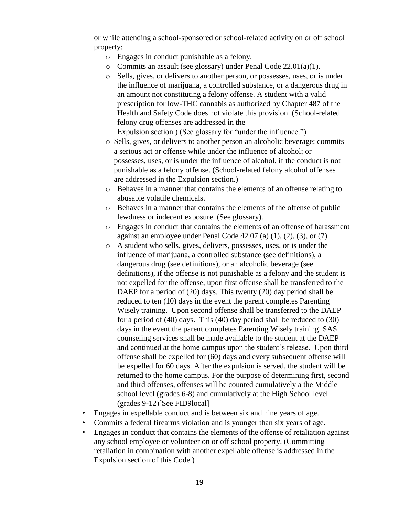or while attending a school-sponsored or school-related activity on or off school property:

- o Engages in conduct punishable as a felony.
- o Commits an assault (see glossary) under Penal Code 22.01(a)(1).
- o Sells, gives, or delivers to another person, or possesses, uses, or is under the influence of marijuana, a controlled substance, or a dangerous drug in an amount not constituting a felony offense. A student with a valid prescription for low-THC cannabis as authorized by Chapter 487 of the Health and Safety Code does not violate this provision. (School-related felony drug offenses are addressed in the

Expulsion section.) (See glossary for "under the influence.")

- o Sells, gives, or delivers to another person an alcoholic beverage; commits a serious act or offense while under the influence of alcohol; or possesses, uses, or is under the influence of alcohol, if the conduct is not punishable as a felony offense. (School-related felony alcohol offenses are addressed in the Expulsion section.)
- o Behaves in a manner that contains the elements of an offense relating to abusable volatile chemicals.
- o Behaves in a manner that contains the elements of the offense of public lewdness or indecent exposure. (See glossary).
- o Engages in conduct that contains the elements of an offense of harassment against an employee under Penal Code 42.07 (a) (1), (2), (3), or (7).
- o A student who sells, gives, delivers, possesses, uses, or is under the influence of marijuana, a controlled substance (see definitions), a dangerous drug (see definitions), or an alcoholic beverage (see definitions), if the offense is not punishable as a felony and the student is not expelled for the offense, upon first offense shall be transferred to the DAEP for a period of (20) days. This twenty (20) day period shall be reduced to ten (10) days in the event the parent completes Parenting Wisely training. Upon second offense shall be transferred to the DAEP for a period of (40) days. This (40) day period shall be reduced to (30) days in the event the parent completes Parenting Wisely training. SAS counseling services shall be made available to the student at the DAEP and continued at the home campus upon the student's release. Upon third offense shall be expelled for (60) days and every subsequent offense will be expelled for 60 days. After the expulsion is served, the student will be returned to the home campus. For the purpose of determining first, second and third offenses, offenses will be counted cumulatively a the Middle school level (grades 6-8) and cumulatively at the High School level (grades 9-12)[See FID9local]
- Engages in expellable conduct and is between six and nine years of age.
- Commits a federal firearms violation and is younger than six years of age.
- Engages in conduct that contains the elements of the offense of retaliation against any school employee or volunteer on or off school property. (Committing retaliation in combination with another expellable offense is addressed in the Expulsion section of this Code.)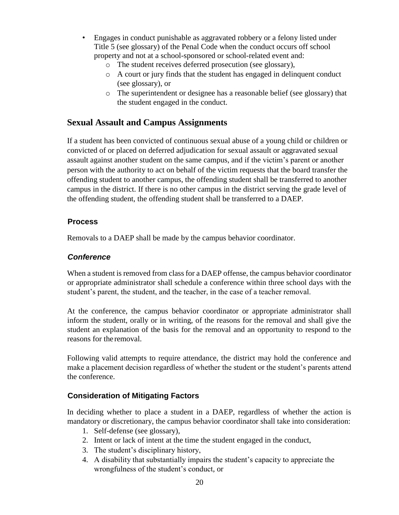- Engages in conduct punishable as aggravated robbery or a felony listed under Title 5 (see glossary) of the Penal Code when the conduct occurs off school property and not at a school-sponsored or school-related event and:
	- o The student receives deferred prosecution (see glossary),
	- o A court or jury finds that the student has engaged in delinquent conduct (see glossary), or
	- o The superintendent or designee has a reasonable belief (see glossary) that the student engaged in the conduct.

#### <span id="page-22-0"></span>**Sexual Assault and Campus Assignments**

If a student has been convicted of continuous sexual abuse of a young child or children or convicted of or placed on deferred adjudication for sexual assault or aggravated sexual assault against another student on the same campus, and if the victim's parent or another person with the authority to act on behalf of the victim requests that the board transfer the offending student to another campus, the offending student shall be transferred to another campus in the district. If there is no other campus in the district serving the grade level of the offending student, the offending student shall be transferred to a DAEP.

#### <span id="page-22-1"></span>**Process**

Removals to a DAEP shall be made by the campus behavior coordinator.

#### <span id="page-22-2"></span>*Conference*

When a student is removed from class for a DAEP offense, the campus behavior coordinator or appropriate administrator shall schedule a conference within three school days with the student's parent, the student, and the teacher, in the case of a teacher removal.

At the conference, the campus behavior coordinator or appropriate administrator shall inform the student, orally or in writing, of the reasons for the removal and shall give the student an explanation of the basis for the removal and an opportunity to respond to the reasons for the removal.

Following valid attempts to require attendance, the district may hold the conference and make a placement decision regardless of whether the student or the student's parents attend the conference.

#### <span id="page-22-3"></span>**Consideration of Mitigating Factors**

In deciding whether to place a student in a DAEP, regardless of whether the action is mandatory or discretionary, the campus behavior coordinator shall take into consideration:

- 1. Self-defense (see glossary),
- 2. Intent or lack of intent at the time the student engaged in the conduct,
- 3. The student's disciplinary history,
- 4. A disability that substantially impairs the student's capacity to appreciate the wrongfulness of the student's conduct, or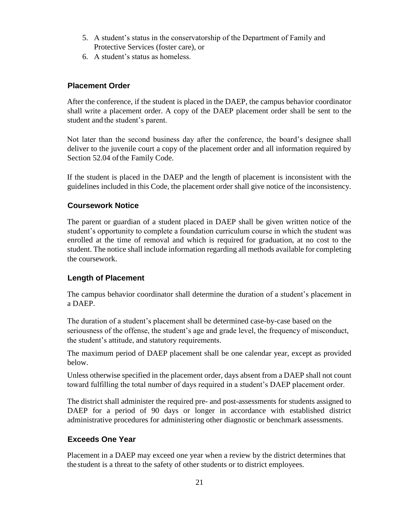- 5. A student's status in the conservatorship of the Department of Family and Protective Services (foster care), or
- 6. A student's status as homeless.

#### <span id="page-23-0"></span>**Placement Order**

After the conference, if the student is placed in the DAEP, the campus behavior coordinator shall write a placement order. A copy of the DAEP placement order shall be sent to the student and the student's parent.

Not later than the second business day after the conference, the board's designee shall deliver to the juvenile court a copy of the placement order and all information required by Section 52.04 of the Family Code.

If the student is placed in the DAEP and the length of placement is inconsistent with the guidelines included in this Code, the placement order shall give notice of the inconsistency.

#### <span id="page-23-1"></span>**Coursework Notice**

The parent or guardian of a student placed in DAEP shall be given written notice of the student's opportunity to complete a foundation curriculum course in which the student was enrolled at the time of removal and which is required for graduation, at no cost to the student. The notice shall include information regarding all methods available for completing the coursework.

#### <span id="page-23-2"></span>**Length of Placement**

The campus behavior coordinator shall determine the duration of a student's placement in a DAEP.

The duration of a student's placement shall be determined case-by-case based on the seriousness of the offense, the student's age and grade level, the frequency of misconduct, the student's attitude, and statutory requirements.

The maximum period of DAEP placement shall be one calendar year, except as provided below.

Unless otherwise specified in the placement order, days absent from a DAEP shall not count toward fulfilling the total number of days required in a student's DAEP placement order.

The district shall administer the required pre- and post-assessments for students assigned to DAEP for a period of 90 days or longer in accordance with established district administrative procedures for administering other diagnostic or benchmark assessments.

#### <span id="page-23-3"></span>**Exceeds One Year**

Placement in a DAEP may exceed one year when a review by the district determines that the student is a threat to the safety of other students or to district employees.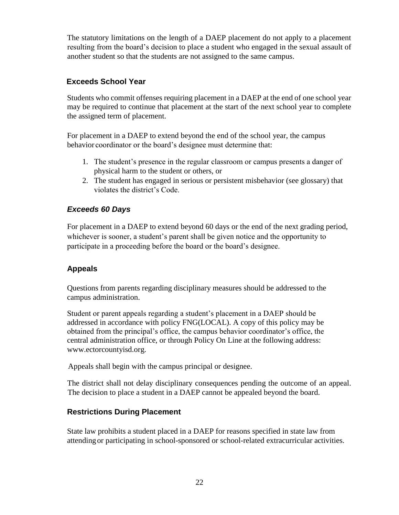The statutory limitations on the length of a DAEP placement do not apply to a placement resulting from the board's decision to place a student who engaged in the sexual assault of another student so that the students are not assigned to the same campus.

#### <span id="page-24-0"></span>**Exceeds School Year**

Students who commit offenses requiring placement in a DAEP at the end of one school year may be required to continue that placement at the start of the next school year to complete the assigned term of placement.

For placement in a DAEP to extend beyond the end of the school year, the campus behavior coordinator or the board's designee must determine that:

- 1. The student's presence in the regular classroom or campus presents a danger of physical harm to the student or others, or
- 2. The student has engaged in serious or persistent misbehavior (see glossary) that violates the district's Code.

# <span id="page-24-1"></span>*Exceeds 60 Days*

For placement in a DAEP to extend beyond 60 days or the end of the next grading period, whichever is sooner, a student's parent shall be given notice and the opportunity to participate in a proceeding before the board or the board's designee.

#### <span id="page-24-2"></span>**Appeals**

Questions from parents regarding disciplinary measures should be addressed to the campus administration.

Student or parent appeals regarding a student's placement in a DAEP should be addressed in accordance with policy FNG(LOCAL). A copy of this policy may be obtained from the principal's office, the campus behavior coordinator's office, the central administration office, or through Policy On Line at the following address[:](http://www.ectorcountyisd.org/) [www.ectorcountyisd.org.](http://www.ectorcountyisd.org/)

Appeals shall begin with the campus principal or designee.

The district shall not delay disciplinary consequences pending the outcome of an appeal. The decision to place a student in a DAEP cannot be appealed beyond the board.

#### <span id="page-24-3"></span>**Restrictions During Placement**

State law prohibits a student placed in a DAEP for reasons specified in state law from attendingor participating in school-sponsored or school-related extracurricular activities.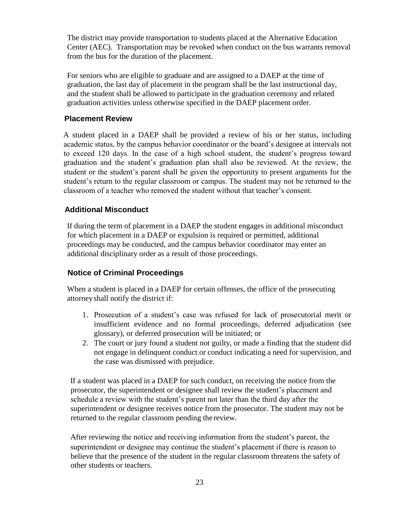The district may provide transportation to students placed at the Alternative Education Center (AEC). Transportation may be revoked when conduct on the bus warrants removal from the bus for the duration of the placement.

For seniors who are eligible to graduate and are assigned to a DAEP at the time of graduation, the last day of placement in the program shall be the last instructional day, and the student shall be allowed to participate in the graduation ceremony and related graduation activities unless otherwise specified in the DAEP placement order.

#### <span id="page-25-0"></span>**Placement Review**

A student placed in a DAEP shall be provided a review of his or her status, including academic status, by the campus behavior coordinator or the board's designee at intervals not to exceed 120 days. In the case of a high school student, the student's progress toward graduation and the student's graduation plan shall also be reviewed. At the review, the student or the student's parent shall be given the opportunity to present arguments for the student's return to the regular classroom or campus. The student may not be returned to the classroom of a teacher who removed the student without that teacher's consent.

# <span id="page-25-1"></span>**Additional Misconduct**

If during the term of placement in a DAEP the student engages in additional misconduct for which placement in a DAEP or expulsion is required or permitted, additional proceedings may be conducted, and the campus behavior coordinator may enter an additional disciplinary order as a result of those proceedings.

#### <span id="page-25-2"></span>**Notice of Criminal Proceedings**

When a student is placed in a DAEP for certain offenses, the office of the prosecuting attorneyshall notify the district if:

- 1. Prosecution of a student's case was refused for lack of prosecutorial merit or insufficient evidence and no formal proceedings, deferred adjudication (see glossary), or deferred prosecution will be initiated; or
- 2. The court or jury found a student not guilty, or made a finding that the student did not engage in delinquent conduct or conduct indicating a need for supervision, and the case was dismissed with prejudice.

If a student was placed in a DAEP for such conduct, on receiving the notice from the prosecutor, the superintendent or designee shall review the student's placement and schedule a review with the student's parent not later than the third day after the superintendent or designee receives notice from the prosecutor. The student may not be returned to the regular classroom pending the review.

After reviewing the notice and receiving information from the student's parent, the superintendent or designee may continue the student's placement if there is reason to believe that the presence of the student in the regular classroom threatens the safety of other students or teachers.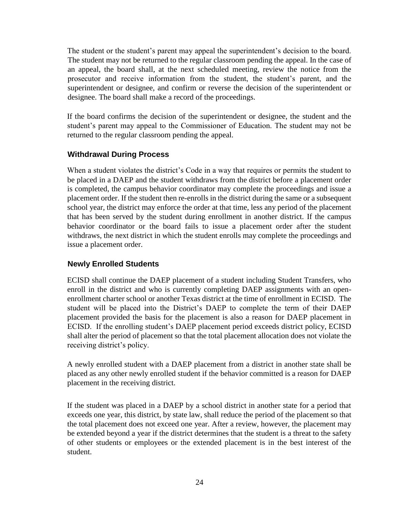The student or the student's parent may appeal the superintendent's decision to the board. The student may not be returned to the regular classroom pending the appeal. In the case of an appeal, the board shall, at the next scheduled meeting, review the notice from the prosecutor and receive information from the student, the student's parent, and the superintendent or designee, and confirm or reverse the decision of the superintendent or designee. The board shall make a record of the proceedings.

If the board confirms the decision of the superintendent or designee, the student and the student's parent may appeal to the Commissioner of Education. The student may not be returned to the regular classroom pending the appeal.

#### <span id="page-26-0"></span>**Withdrawal During Process**

When a student violates the district's Code in a way that requires or permits the student to be placed in a DAEP and the student withdraws from the district before a placement order is completed, the campus behavior coordinator may complete the proceedings and issue a placement order. If the student then re-enrolls in the district during the same or a subsequent school year, the district may enforce the order at that time, less any period of the placement that has been served by the student during enrollment in another district. If the campus behavior coordinator or the board fails to issue a placement order after the student withdraws, the next district in which the student enrolls may complete the proceedings and issue a placement order.

#### <span id="page-26-1"></span>**Newly Enrolled Students**

ECISD shall continue the DAEP placement of a student including Student Transfers, who enroll in the district and who is currently completing DAEP assignments with an openenrollment charter school or another Texas district at the time of enrollment in ECISD. The student will be placed into the District's DAEP to complete the term of their DAEP placement provided the basis for the placement is also a reason for DAEP placement in ECISD. If the enrolling student's DAEP placement period exceeds district policy, ECISD shall alter the period of placement so that the total placement allocation does not violate the receiving district's policy.

A newly enrolled student with a DAEP placement from a district in another state shall be placed as any other newly enrolled student if the behavior committed is a reason for DAEP placement in the receiving district.

If the student was placed in a DAEP by a school district in another state for a period that exceeds one year, this district, by state law, shall reduce the period of the placement so that the total placement does not exceed one year. After a review, however, the placement may be extended beyond a year if the district determines that the student is a threat to the safety of other students or employees or the extended placement is in the best interest of the student.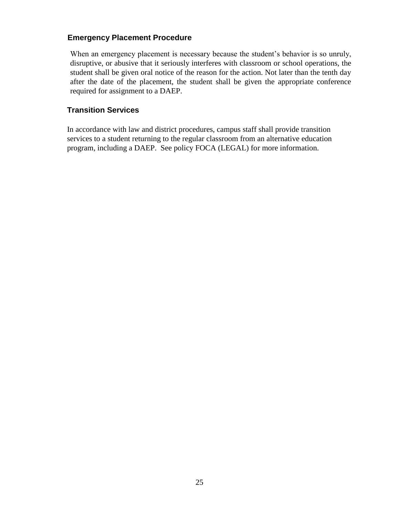#### <span id="page-27-0"></span>**Emergency Placement Procedure**

When an emergency placement is necessary because the student's behavior is so unruly, disruptive, or abusive that it seriously interferes with classroom or school operations, the student shall be given oral notice of the reason for the action. Not later than the tenth day after the date of the placement, the student shall be given the appropriate conference required for assignment to a DAEP.

#### **Transition Services**

In accordance with law and district procedures, campus staff shall provide transition services to a student returning to the regular classroom from an alternative education program, including a DAEP. See policy FOCA (LEGAL) for more information.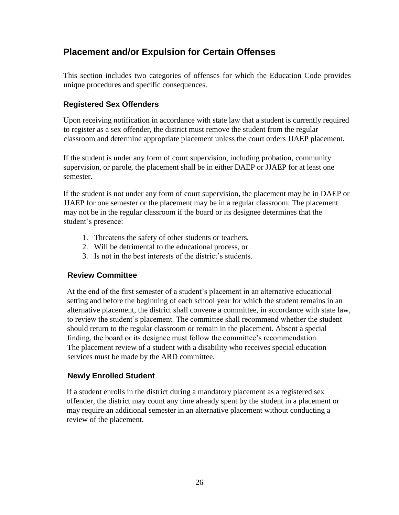# <span id="page-28-0"></span>**Placement and/or Expulsion for Certain Offenses**

This section includes two categories of offenses for which the Education Code provides unique procedures and specific consequences.

# <span id="page-28-1"></span>**Registered Sex Offenders**

Upon receiving notification in accordance with state law that a student is currently required to register as a sex offender, the district must remove the student from the regular classroom and determine appropriate placement unless the court orders JJAEP placement.

If the student is under any form of court supervision, including probation, community supervision, or parole, the placement shall be in either DAEP or JJAEP for at least one semester.

If the student is not under any form of court supervision, the placement may be in DAEP or JJAEP for one semester or the placement may be in a regular classroom. The placement may not be in the regular classroom if the board or its designee determines that the student's presence:

- 1. Threatens the safety of other students or teachers,
- 2. Will be detrimental to the educational process, or
- 3. Is not in the best interests of the district's students.

# <span id="page-28-2"></span>**Review Committee**

At the end of the first semester of a student's placement in an alternative educational setting and before the beginning of each school year for which the student remains in an alternative placement, the district shall convene a committee, in accordance with state law, to review the student's placement. The committee shall recommend whether the student should return to the regular classroom or remain in the placement. Absent a special finding, the board or its designee must follow the committee's recommendation. The placement review of a student with a disability who receives special education services must be made by the ARD committee.

#### <span id="page-28-3"></span>**Newly Enrolled Student**

If a student enrolls in the district during a mandatory placement as a registered sex offender, the district may count any time already spent by the student in a placement or may require an additional semester in an alternative placement without conducting a review of the placement.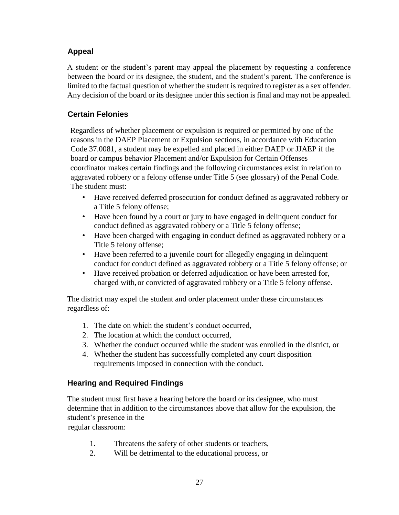# <span id="page-29-0"></span>**Appeal**

A student or the student's parent may appeal the placement by requesting a conference between the board or its designee, the student, and the student's parent. The conference is limited to the factual question of whether the student is required to register as a sex offender. Any decision of the board or its designee under this section is final and may not be appealed.

# <span id="page-29-1"></span>**Certain Felonies**

Regardless of whether placement or expulsion is required or permitted by one of the reasons in the DAEP Placement or Expulsion sections, in accordance with Education Code 37.0081, a student may be expelled and placed in either DAEP or JJAEP if the board or campus behavior Placement and/or Expulsion for Certain Offenses coordinator makes certain findings and the following circumstances exist in relation to aggravated robbery or a felony offense under Title 5 (see glossary) of the Penal Code. The student must:

- Have received deferred prosecution for conduct defined as aggravated robbery or a Title 5 felony offense;
- Have been found by a court or jury to have engaged in delinquent conduct for conduct defined as aggravated robbery or a Title 5 felony offense;
- Have been charged with engaging in conduct defined as aggravated robbery or a Title 5 felony offense;
- Have been referred to a juvenile court for allegedly engaging in delinquent conduct for conduct defined as aggravated robbery or a Title 5 felony offense; or
- Have received probation or deferred adjudication or have been arrested for, charged with, or convicted of aggravated robbery or a Title 5 felony offense.

The district may expel the student and order placement under these circumstances regardless of:

- 1. The date on which the student's conduct occurred,
- 2. The location at which the conduct occurred,
- 3. Whether the conduct occurred while the student was enrolled in the district, or
- 4. Whether the student has successfully completed any court disposition requirements imposed in connection with the conduct.

# <span id="page-29-2"></span>**Hearing and Required Findings**

The student must first have a hearing before the board or its designee, who must determine that in addition to the circumstances above that allow for the expulsion, the student's presence in the

regular classroom:

- 1. Threatens the safety of other students or teachers,
- 2. Will be detrimental to the educational process, or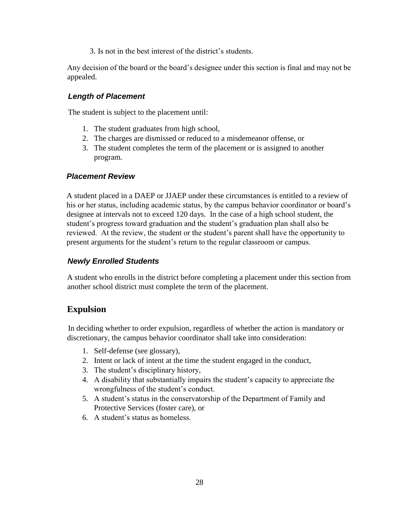3. Is not in the best interest of the district's students.

Any decision of the board or the board's designee under this section is final and may not be appealed.

#### <span id="page-30-0"></span>*Length of Placement*

The student is subject to the placement until:

- 1. The student graduates from high school,
- 2. The charges are dismissed or reduced to a misdemeanor offense, or
- 3. The student completes the term of the placement or is assigned to another program.

#### *Placement Review*

A student placed in a DAEP or JJAEP under these circumstances is entitled to a review of his or her status, including academic status, by the campus behavior coordinator or board's designee at intervals not to exceed 120 days. In the case of a high school student, the student's progress toward graduation and the student's graduation plan shall also be reviewed. At the review, the student or the student's parent shall have the opportunity to present arguments for the student's return to the regular classroom or campus.

#### <span id="page-30-1"></span>*Newly Enrolled Students*

A student who enrolls in the district before completing a placement under this section from another school district must complete the term of the placement.

# **Expulsion**

In deciding whether to order expulsion, regardless of whether the action is mandatory or discretionary, the campus behavior coordinator shall take into consideration:

- 1. Self-defense (see glossary),
- 2. Intent or lack of intent at the time the student engaged in the conduct,
- 3. The student's disciplinary history,
- 4. A disability that substantially impairs the student's capacity to appreciate the wrongfulness of the student's conduct.
- 5. A student's status in the conservatorship of the Department of Family and Protective Services (foster care), or
- 6. A student's status as homeless.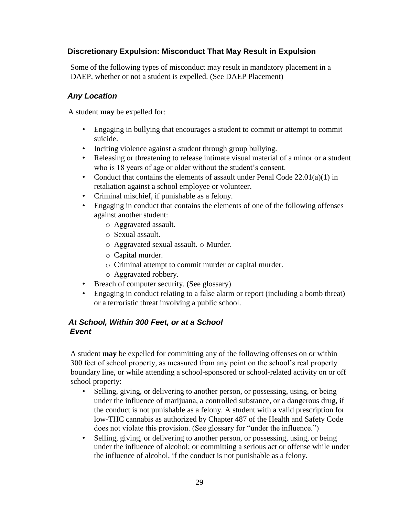#### <span id="page-31-0"></span>**Discretionary Expulsion: Misconduct That May Result in Expulsion**

Some of the following types of misconduct may result in mandatory placement in a DAEP, whether or not a student is expelled. (See DAEP Placement)

#### <span id="page-31-1"></span>*Any Location*

A student **may** be expelled for:

- Engaging in bullying that encourages a student to commit or attempt to commit suicide.
- Inciting violence against a student through group bullying.
- Releasing or threatening to release intimate visual material of a minor or a student who is 18 years of age or older without the student's consent.
- Conduct that contains the elements of assault under Penal Code  $22.01(a)(1)$  in retaliation against a school employee or volunteer.
- Criminal mischief, if punishable as a felony.
- Engaging in conduct that contains the elements of one of the following offenses against another student:
	- o Aggravated assault.
	- o Sexual assault.
	- o Aggravated sexual assault. o Murder.
	- o Capital murder.
	- o Criminal attempt to commit murder or capital murder.
	- o Aggravated robbery.
- Breach of computer security. (See glossary)
- Engaging in conduct relating to a false alarm or report (including a bomb threat) or a terroristic threat involving a public school.

#### <span id="page-31-2"></span>*At School, Within 300 Feet, or at a School Event*

A student **may** be expelled for committing any of the following offenses on or within 300 feet of school property, as measured from any point on the school's real property boundary line, or while attending a school-sponsored or school-related activity on or off school property:

- Selling, giving, or delivering to another person, or possessing, using, or being under the influence of marijuana, a controlled substance, or a dangerous drug, if the conduct is not punishable as a felony. A student with a valid prescription for low-THC cannabis as authorized by Chapter 487 of the Health and Safety Code does not violate this provision. (See glossary for "under the influence.")
- Selling, giving, or delivering to another person, or possessing, using, or being under the influence of alcohol; or committing a serious act or offense while under the influence of alcohol, if the conduct is not punishable as a felony.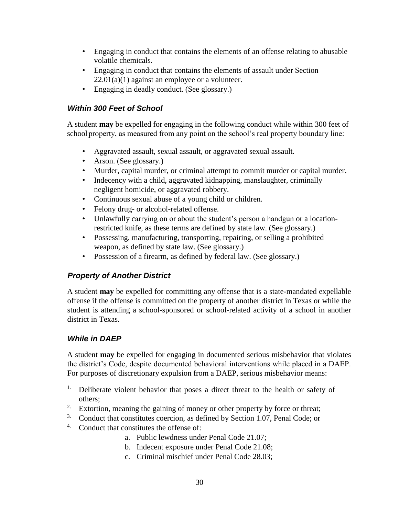- Engaging in conduct that contains the elements of an offense relating to abusable volatile chemicals.
- Engaging in conduct that contains the elements of assault under Section  $22.01(a)(1)$  against an employee or a volunteer.
- Engaging in deadly conduct. (See glossary.)

#### <span id="page-32-0"></span>*Within 300 Feet of School*

A student **may** be expelled for engaging in the following conduct while within 300 feet of school property, as measured from any point on the school's real property boundary line:

- Aggravated assault, sexual assault, or aggravated sexual assault.
- Arson. (See glossary.)
- Murder, capital murder, or criminal attempt to commit murder or capital murder.
- Indecency with a child, aggravated kidnapping, manslaughter, criminally negligent homicide, or aggravated robbery.
- Continuous sexual abuse of a young child or children.
- Felony drug- or alcohol-related offense.
- Unlawfully carrying on or about the student's person a handgun or a locationrestricted knife, as these terms are defined by state law. (See glossary.)
- Possessing, manufacturing, transporting, repairing, or selling a prohibited weapon, as defined by state law. (See glossary.)
- Possession of a firearm, as defined by federal law. (See glossary.)

# <span id="page-32-1"></span>*Property of Another District*

A student **may** be expelled for committing any offense that is a state-mandated expellable offense if the offense is committed on the property of another district in Texas or while the student is attending a school-sponsored or school-related activity of a school in another district in Texas.

#### <span id="page-32-2"></span>*While in DAEP*

A student **may** be expelled for engaging in documented serious misbehavior that violates the district's Code, despite documented behavioral interventions while placed in a DAEP. For purposes of discretionary expulsion from a DAEP, serious misbehavior means:

- <sup>1.</sup> Deliberate violent behavior that poses a direct threat to the health or safety of others;
- <sup>2.</sup> Extortion, meaning the gaining of money or other property by force or threat;
- <sup>3.</sup> Conduct that constitutes coercion, as defined by Section 1.07, Penal Code; or
- 4. Conduct that constitutes the offense of:
	- a. Public lewdness under Penal Code 21.07;
		- b. Indecent exposure under Penal Code 21.08;
	- c. Criminal mischief under Penal Code 28.03;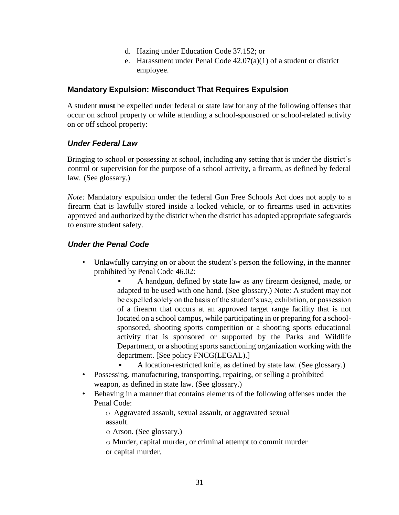- d. Hazing under Education Code 37.152; or
- e. Harassment under Penal Code 42.07(a)(1) of a student or district employee.

#### <span id="page-33-0"></span>**Mandatory Expulsion: Misconduct That Requires Expulsion**

A student **must** be expelled under federal or state law for any of the following offenses that occur on school property or while attending a school-sponsored or school-related activity on or off school property:

#### <span id="page-33-1"></span>*Under Federal Law*

Bringing to school or possessing at school, including any setting that is under the district's control or supervision for the purpose of a school activity, a firearm, as defined by federal law. (See glossary.)

*Note:* Mandatory expulsion under the federal Gun Free Schools Act does not apply to a firearm that is lawfully stored inside a locked vehicle, or to firearms used in activities approved and authorized by the district when the district has adopted appropriate safeguards to ensure student safety.

#### <span id="page-33-2"></span>*Under the Penal Code*

- Unlawfully carrying on or about the student's person the following, in the manner prohibited by Penal Code 46.02:
	- A handgun, defined by state law as any firearm designed, made, or adapted to be used with one hand. (See glossary.) Note: A student may not be expelled solely on the basis of the student's use, exhibition, or possession of a firearm that occurs at an approved target range facility that is not located on a school campus, while participating in or preparing for a schoolsponsored, shooting sports competition or a shooting sports educational activity that is sponsored or supported by the Parks and Wildlife Department, or a shooting sports sanctioning organization working with the department. [See policy FNCG(LEGAL).]
- A location-restricted knife, as defined by state law. (See glossary.) • Possessing, manufacturing, transporting, repairing, or selling a prohibited
	- weapon, as defined in state law. (See glossary.)
- Behaving in a manner that contains elements of the following offenses under the Penal Code:

o Aggravated assault, sexual assault, or aggravated sexual assault.

o Arson. (See glossary.)

o Murder, capital murder, or criminal attempt to commit murder or capital murder.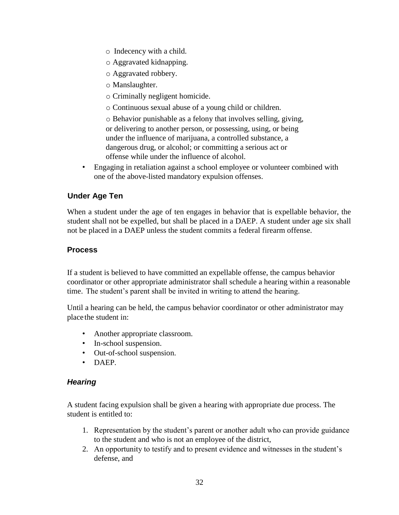- o Indecency with a child.
- o Aggravated kidnapping.
- o Aggravated robbery.
- o Manslaughter.
- o Criminally negligent homicide.
- o Continuous sexual abuse of a young child or children.

o Behavior punishable as a felony that involves selling, giving, or delivering to another person, or possessing, using, or being under the influence of marijuana, a controlled substance, a dangerous drug, or alcohol; or committing a serious act or offense while under the influence of alcohol.

• Engaging in retaliation against a school employee or volunteer combined with one of the above-listed mandatory expulsion offenses.

#### <span id="page-34-0"></span>**Under Age Ten**

When a student under the age of ten engages in behavior that is expellable behavior, the student shall not be expelled, but shall be placed in a DAEP. A student under age six shall not be placed in a DAEP unless the student commits a federal firearm offense.

#### <span id="page-34-1"></span>**Process**

If a student is believed to have committed an expellable offense, the campus behavior coordinator or other appropriate administrator shall schedule a hearing within a reasonable time. The student's parent shall be invited in writing to attend the hearing.

Until a hearing can be held, the campus behavior coordinator or other administrator may place the student in:

- Another appropriate classroom.
- In-school suspension.
- Out-of-school suspension.
- DAEP.

#### <span id="page-34-2"></span>*Hearing*

A student facing expulsion shall be given a hearing with appropriate due process. The student is entitled to:

- 1. Representation by the student's parent or another adult who can provide guidance to the student and who is not an employee of the district,
- 2. An opportunity to testify and to present evidence and witnesses in the student's defense, and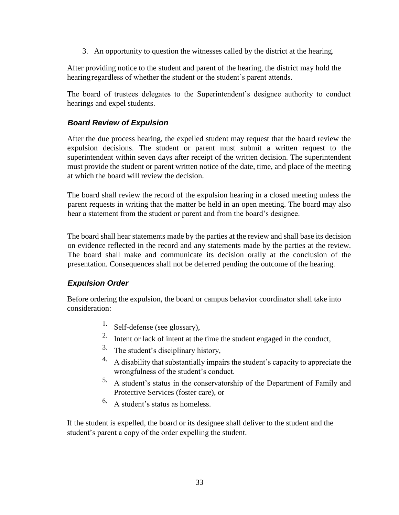3. An opportunity to question the witnesses called by the district at the hearing.

After providing notice to the student and parent of the hearing, the district may hold the hearing regardless of whether the student or the student's parent attends.

The board of trustees delegates to the Superintendent's designee authority to conduct hearings and expel students.

#### <span id="page-35-0"></span>*Board Review of Expulsion*

After the due process hearing, the expelled student may request that the board review the expulsion decisions. The student or parent must submit a written request to the superintendent within seven days after receipt of the written decision. The superintendent must provide the student or parent written notice of the date, time, and place of the meeting at which the board will review the decision.

The board shall review the record of the expulsion hearing in a closed meeting unless the parent requests in writing that the matter be held in an open meeting. The board may also hear a statement from the student or parent and from the board's designee.

The board shall hear statements made by the parties at the review and shall base its decision on evidence reflected in the record and any statements made by the parties at the review. The board shall make and communicate its decision orally at the conclusion of the presentation. Consequences shall not be deferred pending the outcome of the hearing.

#### <span id="page-35-1"></span>*Expulsion Order*

Before ordering the expulsion, the board or campus behavior coordinator shall take into consideration:

- 1. Self-defense (see glossary),
- 2. Intent or lack of intent at the time the student engaged in the conduct,
- 3. The student's disciplinary history,
- 4. A disability that substantially impairs the student's capacity to appreciate the wrongfulness of the student's conduct.
- 5. A student's status in the conservatorship of the Department of Family and Protective Services (foster care), or
- 6. A student's status as homeless.

If the student is expelled, the board or its designee shall deliver to the student and the student's parent a copy of the order expelling the student.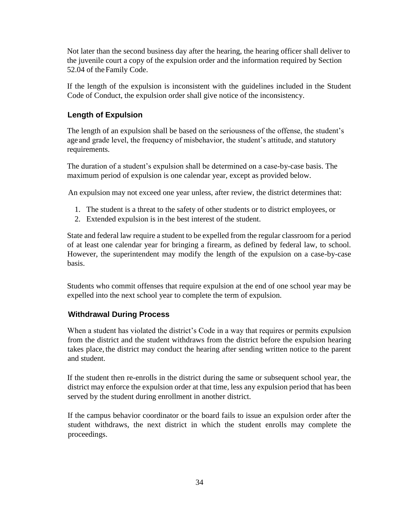Not later than the second business day after the hearing, the hearing officer shall deliver to the juvenile court a copy of the expulsion order and the information required by Section 52.04 of the Family Code.

If the length of the expulsion is inconsistent with the guidelines included in the Student Code of Conduct, the expulsion order shall give notice of the inconsistency.

# <span id="page-36-0"></span>**Length of Expulsion**

The length of an expulsion shall be based on the seriousness of the offense, the student's age and grade level, the frequency of misbehavior, the student's attitude, and statutory requirements.

The duration of a student's expulsion shall be determined on a case-by-case basis. The maximum period of expulsion is one calendar year, except as provided below.

An expulsion may not exceed one year unless, after review, the district determines that:

- 1. The student is a threat to the safety of other students or to district employees, or
- 2. Extended expulsion is in the best interest of the student.

State and federal law require a student to be expelled from the regular classroom for a period of at least one calendar year for bringing a firearm, as defined by federal law, to school. However, the superintendent may modify the length of the expulsion on a case-by-case basis.

Students who commit offenses that require expulsion at the end of one school year may be expelled into the next school year to complete the term of expulsion.

#### <span id="page-36-1"></span>**Withdrawal During Process**

When a student has violated the district's Code in a way that requires or permits expulsion from the district and the student withdraws from the district before the expulsion hearing takes place, the district may conduct the hearing after sending written notice to the parent and student.

If the student then re-enrolls in the district during the same or subsequent school year, the district may enforce the expulsion order at that time, less any expulsion period that has been served by the student during enrollment in another district.

If the campus behavior coordinator or the board fails to issue an expulsion order after the student withdraws, the next district in which the student enrolls may complete the proceedings.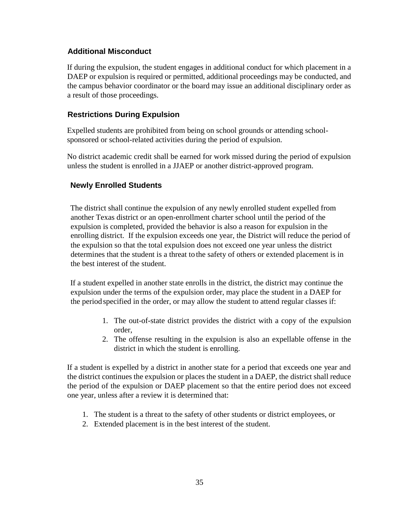#### <span id="page-37-0"></span>**Additional Misconduct**

If during the expulsion, the student engages in additional conduct for which placement in a DAEP or expulsion is required or permitted, additional proceedings may be conducted, and the campus behavior coordinator or the board may issue an additional disciplinary order as a result of those proceedings.

#### <span id="page-37-1"></span>**Restrictions During Expulsion**

Expelled students are prohibited from being on school grounds or attending schoolsponsored or school-related activities during the period of expulsion.

No district academic credit shall be earned for work missed during the period of expulsion unless the student is enrolled in a JJAEP or another district-approved program.

# <span id="page-37-2"></span>**Newly Enrolled Students**

The district shall continue the expulsion of any newly enrolled student expelled from another Texas district or an open-enrollment charter school until the period of the expulsion is completed, provided the behavior is also a reason for expulsion in the enrolling district. If the expulsion exceeds one year, the District will reduce the period of the expulsion so that the total expulsion does not exceed one year unless the district determines that the student is a threat to the safety of others or extended placement is in the best interest of the student.

If a student expelled in another state enrolls in the district, the district may continue the expulsion under the terms of the expulsion order, may place the student in a DAEP for the period specified in the order, or may allow the student to attend regular classes if:

- 1. The out-of-state district provides the district with a copy of the expulsion order,
- 2. The offense resulting in the expulsion is also an expellable offense in the district in which the student is enrolling.

If a student is expelled by a district in another state for a period that exceeds one year and the district continues the expulsion or places the student in a DAEP, the district shall reduce the period of the expulsion or DAEP placement so that the entire period does not exceed one year, unless after a review it is determined that:

- 1. The student is a threat to the safety of other students or district employees, or
- 2. Extended placement is in the best interest of the student.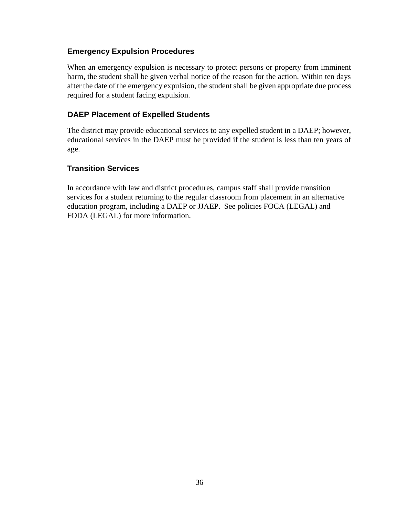#### <span id="page-38-0"></span>**Emergency Expulsion Procedures**

When an emergency expulsion is necessary to protect persons or property from imminent harm, the student shall be given verbal notice of the reason for the action. Within ten days after the date of the emergency expulsion, the student shall be given appropriate due process required for a student facing expulsion.

#### <span id="page-38-1"></span>**DAEP Placement of Expelled Students**

The district may provide educational services to any expelled student in a DAEP; however, educational services in the DAEP must be provided if the student is less than ten years of age.

# **Transition Services**

In accordance with law and district procedures, campus staff shall provide transition services for a student returning to the regular classroom from placement in an alternative education program, including a DAEP or JJAEP. See policies FOCA (LEGAL) and FODA (LEGAL) for more information.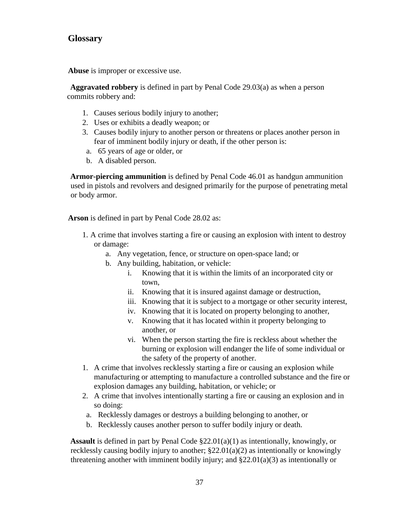# **Glossary**

**Abuse** is improper or excessive use.

**Aggravated robbery** is defined in part by Penal Code 29.03(a) as when a person commits robbery and:

- 1. Causes serious bodily injury to another;
- 2. Uses or exhibits a deadly weapon; or
- 3. Causes bodily injury to another person or threatens or places another person in fear of imminent bodily injury or death, if the other person is:
- a. 65 years of age or older, or
- b. A disabled person.

**Armor-piercing ammunition** is defined by Penal Code 46.01 as handgun ammunition used in pistols and revolvers and designed primarily for the purpose of penetrating metal or body armor.

**Arson** is defined in part by Penal Code 28.02 as:

- 1. A crime that involves starting a fire or causing an explosion with intent to destroy or damage:
	- a. Any vegetation, fence, or structure on open-space land; or
	- b. Any building, habitation, or vehicle:
		- i. Knowing that it is within the limits of an incorporated city or town,
		- ii. Knowing that it is insured against damage or destruction,
		- iii. Knowing that it is subject to a mortgage or other security interest,
		- iv. Knowing that it is located on property belonging to another,
		- v. Knowing that it has located within it property belonging to another, or
		- vi. When the person starting the fire is reckless about whether the burning or explosion will endanger the life of some individual or the safety of the property of another.
- 1. A crime that involves recklessly starting a fire or causing an explosion while manufacturing or attempting to manufacture a controlled substance and the fire or explosion damages any building, habitation, or vehicle; or
- 2. A crime that involves intentionally starting a fire or causing an explosion and in so doing:
	- a. Recklessly damages or destroys a building belonging to another, or
	- b. Recklessly causes another person to suffer bodily injury or death.

**Assault** is defined in part by Penal Code §22.01(a)(1) as intentionally, knowingly, or recklessly causing bodily injury to another; §22.01(a)(2) as intentionally or knowingly threatening another with imminent bodily injury; and §22.01(a)(3) as intentionally or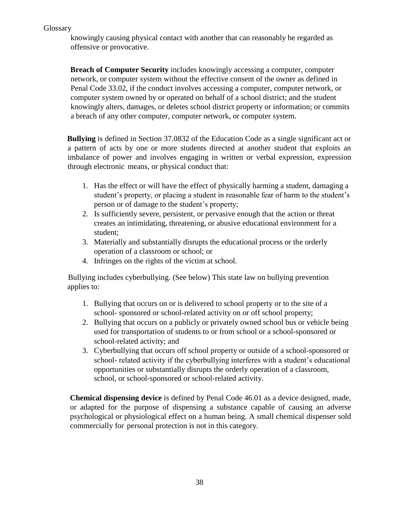knowingly causing physical contact with another that can reasonably be regarded as offensive or provocative.

**Breach of Computer Security** includes knowingly accessing a computer, computer network, or computer system without the effective consent of the owner as defined in Penal Code 33.02, if the conduct involves accessing a computer, computer network, or computer system owned by or operated on behalf of a school district; and the student knowingly alters, damages, or deletes school district property or information; or commits a breach of any other computer, computer network, or computer system.

**Bullying** is defined in Section 37.0832 of the Education Code as a single significant act or a pattern of acts by one or more students directed at another student that exploits an imbalance of power and involves engaging in written or verbal expression, expression through electronic means, or physical conduct that:

- 1. Has the effect or will have the effect of physically harming a student, damaging a student's property, or placing a student in reasonable fear of harm to the student's person or of damage to the student's property;
- 2. Is sufficiently severe, persistent, or pervasive enough that the action or threat creates an intimidating, threatening, or abusive educational environment for a student;
- 3. Materially and substantially disrupts the educational process or the orderly operation of a classroom or school; or
- 4. Infringes on the rights of the victim at school.

Bullying includes cyberbullying. (See below) This state law on bullying prevention applies to:

- 1. Bullying that occurs on or is delivered to school property or to the site of a school- sponsored or school-related activity on or off school property;
- 2. Bullying that occurs on a publicly or privately owned school bus or vehicle being used for transportation of students to or from school or a school-sponsored or school-related activity; and
- 3. Cyberbullying that occurs off school property or outside of a school-sponsored or school- related activity if the cyberbullying interferes with a student's educational opportunities or substantially disrupts the orderly operation of a classroom, school, or school-sponsored or school-related activity.

**Chemical dispensing device** is defined by Penal Code 46.01 as a device designed, made, or adapted for the purpose of dispensing a substance capable of causing an adverse psychological or physiological effect on a human being. A small chemical dispenser sold commercially for personal protection is not in this category.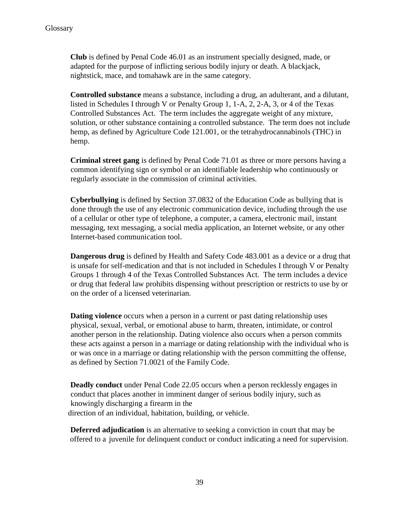**Club** is defined by Penal Code 46.01 as an instrument specially designed, made, or adapted for the purpose of inflicting serious bodily injury or death. A blackjack, nightstick, mace, and tomahawk are in the same category.

**Controlled substance** means a substance, including a drug, an adulterant, and a dilutant, listed in Schedules I through V or Penalty Group 1, 1-A, 2, 2-A, 3, or 4 of the Texas Controlled Substances Act. The term includes the aggregate weight of any mixture, solution, or other substance containing a controlled substance. The term does not include hemp, as defined by Agriculture Code 121.001, or the tetrahydrocannabinols (THC) in hemp.

**Criminal street gang** is defined by Penal Code 71.01 as three or more persons having a common identifying sign or symbol or an identifiable leadership who continuously or regularly associate in the commission of criminal activities.

**Cyberbullying** is defined by Section 37.0832 of the Education Code as bullying that is done through the use of any electronic communication device, including through the use of a cellular or other type of telephone, a computer, a camera, electronic mail, instant messaging, text messaging, a social media application, an Internet website, or any other Internet-based communication tool.

**Dangerous drug** is defined by Health and Safety Code 483.001 as a device or a drug that is unsafe for self-medication and that is not included in Schedules I through V or Penalty Groups 1 through 4 of the Texas Controlled Substances Act. The term includes a device or drug that federal law prohibits dispensing without prescription or restricts to use by or on the order of a licensed veterinarian.

**Dating violence** occurs when a person in a current or past dating relationship uses physical, sexual, verbal, or emotional abuse to harm, threaten, intimidate, or control another person in the relationship. Dating violence also occurs when a person commits these acts against a person in a marriage or dating relationship with the individual who is or was once in a marriage or dating relationship with the person committing the offense, as defined by Section 71.0021 of the Family Code.

**Deadly conduct** under Penal Code 22.05 occurs when a person recklessly engages in conduct that places another in imminent danger of serious bodily injury, such as knowingly discharging a firearm in the direction of an individual, habitation, building, or vehicle.

**Deferred adjudication** is an alternative to seeking a conviction in court that may be offered to a juvenile for delinquent conduct or conduct indicating a need for supervision.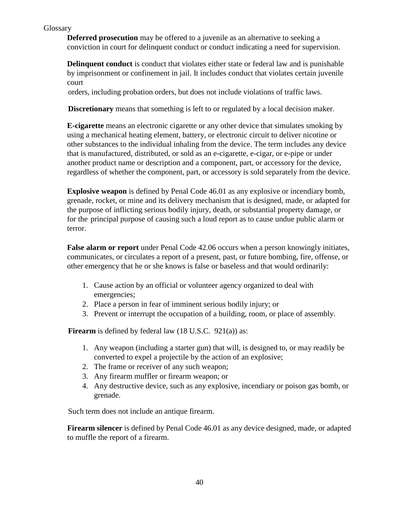#### Glossary

**Deferred prosecution** may be offered to a juvenile as an alternative to seeking a conviction in court for delinquent conduct or conduct indicating a need for supervision.

**Delinquent conduct** is conduct that violates either state or federal law and is punishable by imprisonment or confinement in jail. It includes conduct that violates certain juvenile court

orders, including probation orders, but does not include violations of traffic laws.

**Discretionary** means that something is left to or regulated by a local decision maker.

**E-cigarette** means an electronic cigarette or any other device that simulates smoking by using a mechanical heating element, battery, or electronic circuit to deliver nicotine or other substances to the individual inhaling from the device. The term includes any device that is manufactured, distributed, or sold as an e-cigarette, e-cigar, or e-pipe or under another product name or description and a component, part, or accessory for the device, regardless of whether the component, part, or accessory is sold separately from the device.

**Explosive weapon** is defined by Penal Code 46.01 as any explosive or incendiary bomb, grenade, rocket, or mine and its delivery mechanism that is designed, made, or adapted for the purpose of inflicting serious bodily injury, death, or substantial property damage, or for the principal purpose of causing such a loud report as to cause undue public alarm or terror.

**False alarm or report** under Penal Code 42.06 occurs when a person knowingly initiates, communicates, or circulates a report of a present, past, or future bombing, fire, offense, or other emergency that he or she knows is false or baseless and that would ordinarily:

- 1. Cause action by an official or volunteer agency organized to deal with emergencies;
- 2. Place a person in fear of imminent serious bodily injury; or
- 3. Prevent or interrupt the occupation of a building, room, or place of assembly.

**Firearm** is defined by federal law (18 U.S.C. 921(a)) as:

- 1. Any weapon (including a starter gun) that will, is designed to, or may readily be converted to expel a projectile by the action of an explosive;
- 2. The frame or receiver of any such weapon;
- 3. Any firearm muffler or firearm weapon; or
- 4. Any destructive device, such as any explosive, incendiary or poison gas bomb, or grenade.

Such term does not include an antique firearm.

**Firearm silencer** is defined by Penal Code 46.01 as any device designed, made, or adapted to muffle the report of a firearm.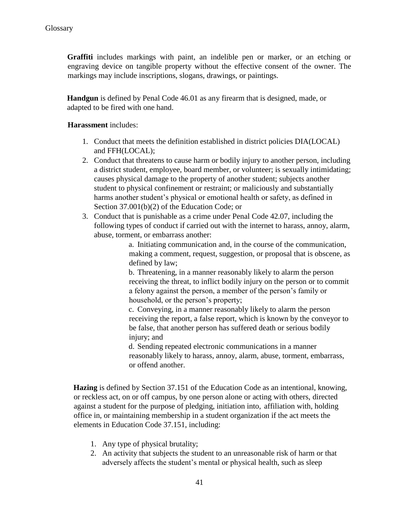Graffiti includes markings with paint, an indelible pen or marker, or an etching or engraving device on tangible property without the effective consent of the owner. The markings may include inscriptions, slogans, drawings, or paintings.

**Handgun** is defined by Penal Code 46.01 as any firearm that is designed, made, or adapted to be fired with one hand.

#### **Harassment** includes:

- 1. Conduct that meets the definition established in district policies DIA(LOCAL) and FFH(LOCAL);
- 2. Conduct that threatens to cause harm or bodily injury to another person, including a district student, employee, board member, or volunteer; is sexually intimidating; causes physical damage to the property of another student; subjects another student to physical confinement or restraint; or maliciously and substantially harms another student's physical or emotional health or safety, as defined in Section 37.001(b)(2) of the Education Code; or
- 3. Conduct that is punishable as a crime under Penal Code 42.07, including the following types of conduct if carried out with the internet to harass, annoy, alarm, abuse, torment, or embarrass another:

a. Initiating communication and, in the course of the communication, making a comment, request, suggestion, or proposal that is obscene, as defined by law;

b. Threatening, in a manner reasonably likely to alarm the person receiving the threat, to inflict bodily injury on the person or to commit a felony against the person, a member of the person's family or household, or the person's property;

c. Conveying, in a manner reasonably likely to alarm the person receiving the report, a false report, which is known by the conveyor to be false, that another person has suffered death or serious bodily injury; and

d. Sending repeated electronic communications in a manner reasonably likely to harass, annoy, alarm, abuse, torment, embarrass, or offend another.

**Hazing** is defined by Section 37.151 of the Education Code as an intentional, knowing, or reckless act, on or off campus, by one person alone or acting with others, directed against a student for the purpose of pledging, initiation into, affiliation with, holding office in, or maintaining membership in a student organization if the act meets the elements in Education Code 37.151, including:

- 1. Any type of physical brutality;
- 2. An activity that subjects the student to an unreasonable risk of harm or that adversely affects the student's mental or physical health, such as sleep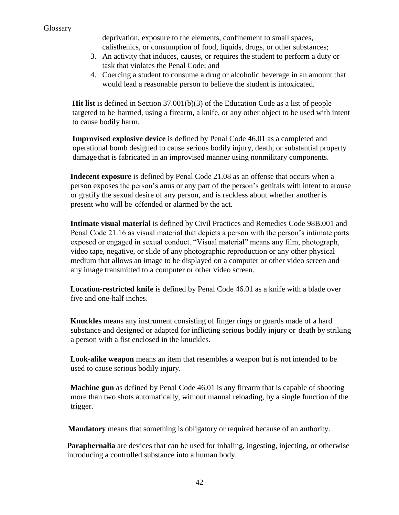deprivation, exposure to the elements, confinement to small spaces, calisthenics, or consumption of food, liquids, drugs, or other substances;

- 3. An activity that induces, causes, or requires the student to perform a duty or task that violates the Penal Code; and
- 4. Coercing a student to consume a drug or alcoholic beverage in an amount that would lead a reasonable person to believe the student is intoxicated.

**Hit list** is defined in Section 37.001(b)(3) of the Education Code as a list of people targeted to be harmed, using a firearm, a knife, or any other object to be used with intent to cause bodily harm.

**Improvised explosive device** is defined by Penal Code 46.01 as a completed and operational bomb designed to cause serious bodily injury, death, or substantial property damage that is fabricated in an improvised manner using nonmilitary components.

**Indecent exposure** is defined by Penal Code 21.08 as an offense that occurs when a person exposes the person's anus or any part of the person's genitals with intent to arouse or gratify the sexual desire of any person, and is reckless about whether another is present who will be offended or alarmed by the act.

**Intimate visual material** is defined by Civil Practices and Remedies Code 98B.001 and Penal Code 21.16 as visual material that depicts a person with the person's intimate parts exposed or engaged in sexual conduct. "Visual material" means any film, photograph, video tape, negative, or slide of any photographic reproduction or any other physical medium that allows an image to be displayed on a computer or other video screen and any image transmitted to a computer or other video screen.

**Location-restricted knife** is defined by Penal Code 46.01 as a knife with a blade over five and one-half inches.

**Knuckles** means any instrument consisting of finger rings or guards made of a hard substance and designed or adapted for inflicting serious bodily injury or death by striking a person with a fist enclosed in the knuckles.

**Look-alike weapon** means an item that resembles a weapon but is not intended to be used to cause serious bodily injury.

**Machine gun** as defined by Penal Code 46.01 is any firearm that is capable of shooting more than two shots automatically, without manual reloading, by a single function of the trigger.

**Mandatory** means that something is obligatory or required because of an authority.

**Paraphernalia** are devices that can be used for inhaling, ingesting, injecting, or otherwise introducing a controlled substance into a human body.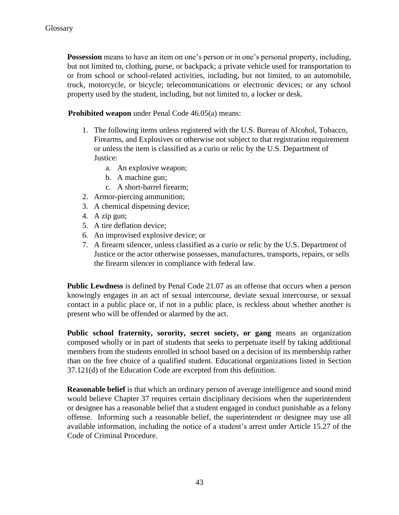**Possession** means to have an item on one's person or in one's personal property, including, but not limited to, clothing, purse, or backpack; a private vehicle used for transportation to or from school or school-related activities, including, but not limited, to an automobile, truck, motorcycle, or bicycle; telecommunications or electronic devices; or any school property used by the student, including, but not limited to, a locker or desk.

**Prohibited weapon** under Penal Code 46.05(a) means:

- 1. The following items unless registered with the U.S. Bureau of Alcohol, Tobacco, Firearms, and Explosives or otherwise not subject to that registration requirement or unless the item is classified as a curio or relic by the U.S. Department of Justice:
	- a. An explosive weapon;
	- b. A machine gun;
	- c. A short-barrel firearm;
- 2. Armor-piercing ammunition;
- 3. A chemical dispensing device;
- 4. A zip gun;
- 5. A tire deflation device;
- 6. An improvised explosive device; or
- 7. A firearm silencer, unless classified as a curio or relic by the U.S. Department of Justice or the actor otherwise possesses, manufactures, transports, repairs, or sells the firearm silencer in compliance with federal law.

**Public Lewdness** is defined by Penal Code 21.07 as an offense that occurs when a person knowingly engages in an act of sexual intercourse, deviate sexual intercourse, or sexual contact in a public place or, if not in a public place, is reckless about whether another is present who will be offended or alarmed by the act.

Public school fraternity, sorority, secret society, or gang means an organization composed wholly or in part of students that seeks to perpetuate itself by taking additional members from the students enrolled in school based on a decision of its membership rather than on the free choice of a qualified student. Educational organizations listed in Section 37.121(d) of the Education Code are excepted from this definition.

**Reasonable belief** is that which an ordinary person of average intelligence and sound mind would believe Chapter 37 requires certain disciplinary decisions when the superintendent or designee has a reasonable belief that a student engaged in conduct punishable as a felony offense. Informing such a reasonable belief, the superintendent or designee may use all available information, including the notice of a student's arrest under Article 15.27 of the Code of Criminal Procedure.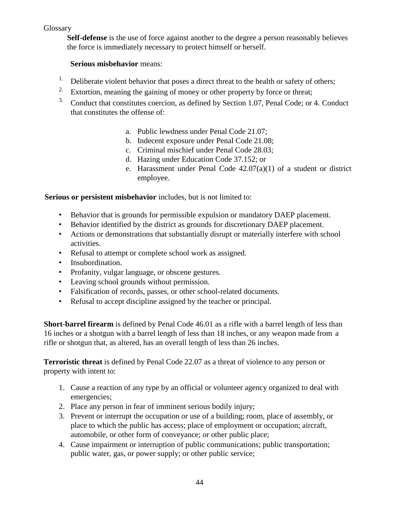#### Glossary

**Self-defense** is the use of force against another to the degree a person reasonably believes the force is immediately necessary to protect himself or herself.

#### **Serious misbehavior** means:

- <sup>1.</sup> Deliberate violent behavior that poses a direct threat to the health or safety of others;
- <sup>2.</sup> Extortion, meaning the gaining of money or other property by force or threat;
- <sup>3.</sup> Conduct that constitutes coercion, as defined by Section 1.07, Penal Code; or 4. Conduct that constitutes the offense of:
	- a. Public lewdness under Penal Code 21.07;
	- b. Indecent exposure under Penal Code 21.08;
	- c. Criminal mischief under Penal Code 28.03;
	- d. Hazing under Education Code 37.152; or
	- e. Harassment under Penal Code 42.07(a)(1) of a student or district employee.

#### **Serious or persistent misbehavior** includes, but is not limited to:

- Behavior that is grounds for permissible expulsion or mandatory DAEP placement.
- Behavior identified by the district as grounds for discretionary DAEP placement.
- Actions or demonstrations that substantially disrupt or materially interfere with school activities.
- Refusal to attempt or complete school work as assigned.
- Insubordination.
- Profanity, vulgar language, or obscene gestures.
- Leaving school grounds without permission.
- Falsification of records, passes, or other school-related documents.
- Refusal to accept discipline assigned by the teacher or principal.

**Short-barrel firearm** is defined by Penal Code 46.01 as a rifle with a barrel length of less than 16 inches or a shotgun with a barrel length of less than 18 inches, or any weapon made from a rifle or shotgun that, as altered, has an overall length of less than 26 inches.

**Terroristic threat** is defined by Penal Code 22.07 as a threat of violence to any person or property with intent to:

- 1. Cause a reaction of any type by an official or volunteer agency organized to deal with emergencies;
- 2. Place any person in fear of imminent serious bodily injury;
- 3. Prevent or interrupt the occupation or use of a building; room, place of assembly, or place to which the public has access; place of employment or occupation; aircraft, automobile, or other form of conveyance; or other public place;
- 4. Cause impairment or interruption of public communications; public transportation; public water, gas, or power supply; or other public service;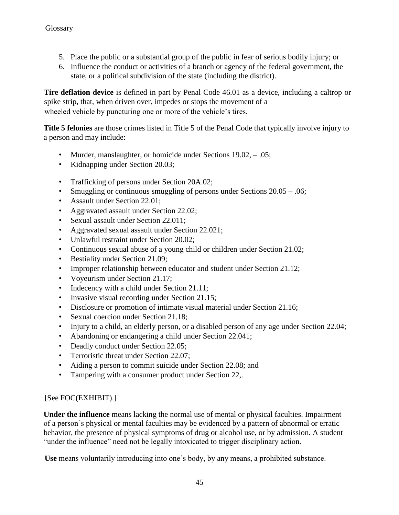- 5. Place the public or a substantial group of the public in fear of serious bodily injury; or
- 6. Influence the conduct or activities of a branch or agency of the federal government, the state, or a political subdivision of the state (including the district).

**Tire deflation device** is defined in part by Penal Code 46.01 as a device, including a caltrop or spike strip, that, when driven over, impedes or stops the movement of a wheeled vehicle by puncturing one or more of the vehicle's tires.

**Title 5 felonies** are those crimes listed in Title 5 of the Penal Code that typically involve injury to a person and may include:

- Murder, manslaughter, or homicide under Sections 19.02, .05;
- Kidnapping under Section 20.03;
- Trafficking of persons under Section 20A.02;
- Smuggling or continuous smuggling of persons under Sections  $20.05 0.06$ ;
- Assault under Section 22.01;
- Aggravated assault under Section 22.02;
- Sexual assault under Section 22.011;
- Aggravated sexual assault under Section 22.021;
- Unlawful restraint under Section 20.02;
- Continuous sexual abuse of a young child or children under Section 21.02;
- Bestiality under Section 21.09;
- Improper relationship between educator and student under Section 21.12;
- Voyeurism under Section 21.17;
- Indecency with a child under Section 21.11;
- Invasive visual recording under Section 21.15;
- Disclosure or promotion of intimate visual material under Section 21.16;
- Sexual coercion under Section 21.18;
- Injury to a child, an elderly person, or a disabled person of any age under Section 22.04;
- Abandoning or endangering a child under Section 22.041;
- Deadly conduct under Section 22.05;
- Terroristic threat under Section 22.07;
- Aiding a person to commit suicide under Section 22.08; and
- Tampering with a consumer product under Section 22,.

#### [See FOC(EXHIBIT).]

**Under the influence** means lacking the normal use of mental or physical faculties. Impairment of a person's physical or mental faculties may be evidenced by a pattern of abnormal or erratic behavior, the presence of physical symptoms of drug or alcohol use, or by admission. A student "under the influence" need not be legally intoxicated to trigger disciplinary action.

**Use** means voluntarily introducing into one's body, by any means, a prohibited substance.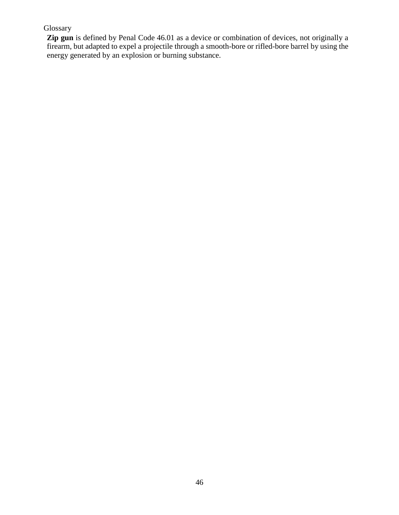#### Glossary

**Zip gun** is defined by Penal Code 46.01 as a device or combination of devices, not originally a firearm, but adapted to expel a projectile through a smooth-bore or rifled-bore barrel by using the energy generated by an explosion or burning substance.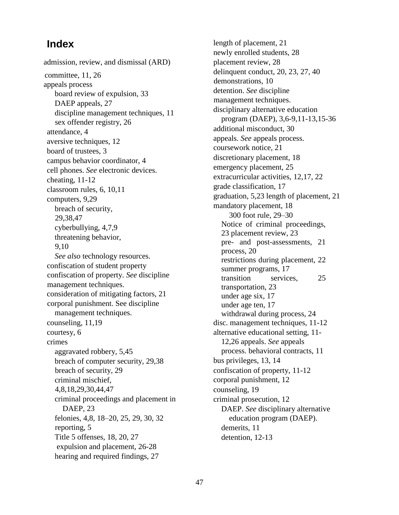# **Index**

admission, review, and dismissal (ARD) committee, 11, 26 appeals process board review of expulsion, 33 DAEP appeals, 27 discipline management techniques, 11 sex offender registry, 26 attendance, 4 aversive techniques, 12 board of trustees, 3 campus behavior coordinator, 4 cell phones. *See* electronic devices. cheating, 11-12 classroom rules, 6, 10,11 computers, 9,29 breach of security, 29,38,47 cyberbullying, 4,7,9 threatening behavior, 9,10 *See also* technology resources. confiscation of student property confiscation of property. *See* discipline management techniques. consideration of mitigating factors, 21 corporal punishment. See discipline management techniques. counseling, 11,19 courtesy, 6 crimes aggravated robbery, 5,45 breach of computer security, 29,38 breach of security, 29 criminal mischief, 4,8,18,29,30,44,47 criminal proceedings and placement in DAEP, 23 felonies, 4,8, 18–20, 25, 29, 30, 32 reporting, 5 Title 5 offenses, 18, 20, 27 expulsion and placement, 26-28 hearing and required findings, 27

length of placement, 21 newly enrolled students, 28 placement review, 28 delinquent conduct, 20, 23, 27, 40 demonstrations, 10 detention. *See* discipline management techniques. disciplinary alternative education program (DAEP), 3,6-9,11-13,15-36 additional misconduct, 30 appeals. *See* appeals process. coursework notice, 21 discretionary placement, 18 emergency placement, 25 extracurricular activities, 12,17, 22 grade classification, 17 graduation, 5,23 length of placement, 21 mandatory placement, 18 300 foot rule, 29–30 Notice of criminal proceedings, 23 placement review, 23 pre- and post-assessments, 21 process, 20 restrictions during placement, 22 summer programs, 17 transition services, 25 transportation, 23 under age six, 17 under age ten, 17 withdrawal during process, 24 disc. management techniques, 11-12 alternative educational setting, 11- 12,26 appeals. *See* appeals process. behavioral contracts, 11 bus privileges, 13, 14 confiscation of property, 11-12 corporal punishment, 12 counseling, 19 criminal prosecution, 12 DAEP. *See* disciplinary alternative education program (DAEP). demerits, 11 detention, 12-13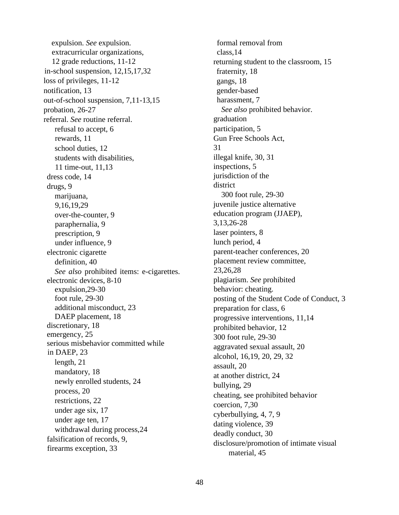expulsion. *See* expulsion. extracurricular organizations, 12 grade reductions, 11-12 in-school suspension, 12,15,17,32 loss of privileges, 11-12 notification, 13 out-of-school suspension, 7,11-13,15 probation, 26-27 referral. *See* routine referral. refusal to accept, 6 rewards, 11 school duties, 12 students with disabilities, 11 time-out, 11,13 dress code, 14 drugs, 9 marijuana, 9,16,19,29 over-the-counter, 9 paraphernalia, 9 prescription, 9 under influence, 9 electronic cigarette definition, 40 *See also* prohibited items: e-cigarettes. electronic devices, 8-10 expulsion,29-30 foot rule, 29-30 additional misconduct, 23 DAEP placement, 18 discretionary, 18 emergency, 25 serious misbehavior committed while in DAEP, 23 length, 21 mandatory, 18 newly enrolled students, 24 process, 20 restrictions, 22 under age six, 17 under age ten, 17 withdrawal during process,24 falsification of records, 9, firearms exception, 33

formal removal from class,14 returning student to the classroom, 15 fraternity, 18 gangs, 18 gender-based harassment, 7 *See also* prohibited behavior. graduation participation, 5 Gun Free Schools Act, 31 illegal knife, 30, 31 inspections, 5 jurisdiction of the district 300 foot rule, 29-30 juvenile justice alternative education program (JJAEP), 3,13,26-28 laser pointers, 8 lunch period, 4 parent-teacher conferences, 20 placement review committee, 23,26,28 plagiarism. *See* prohibited behavior: cheating. posting of the Student Code of Conduct, 3 preparation for class, 6 progressive interventions, 11,14 prohibited behavior, 12 300 foot rule, 29-30 aggravated sexual assault, 20 alcohol, 16,19, 20, 29, 32 assault, 20 at another district, 24 bullying, 29 cheating, see prohibited behavior coercion, 7,30 cyberbullying, 4, 7, 9 dating violence, 39 deadly conduct, 30 disclosure/promotion of intimate visual material, 45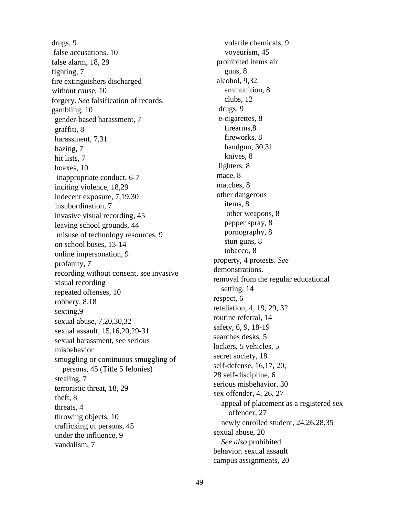drugs, 9 false accusations, 10 false alarm, 18, 29 fighting, 7 fire extinguishers discharged without cause, 10 forgery. *See* falsification of records. gambling, 10 gender-based harassment, 7 graffiti, 8 harassment, 7,31 hazing, 7 hit lists, 7 hoaxes, 10 inappropriate conduct, 6-7 inciting violence, 18,29 indecent exposure, 7,19,30 insubordination, 7 invasive visual recording, 45 leaving school grounds, 44 misuse of technology resources, 9 on school buses, 13-14 online impersonation, 9 profanity, 7 recording without consent, see invasive visual recording repeated offenses, 10 robbery, 8,18 sexting,9 sexual abuse, 7,20,30,32 sexual assault, 15,16,20,29-31 sexual harassment, see serious misbehavior smuggling or continuous smuggling of persons, 45 (Title 5 felonies) stealing, 7 terroristic threat, 18, 29 theft, 8 threats, 4 throwing objects, 10 trafficking of persons, 45 under the influence, 9 vandalism, 7

volatile chemicals, 9 voyeurism, 45 prohibited items air guns, 8 alcohol, 9,32 ammunition, 8 clubs, 12 drugs, 9 e-cigarettes, 8 firearms,8 fireworks, 8 handgun, 30,31 knives, 8 lighters, 8 mace, 8 matches, 8 other dangerous items, 8 other weapons, 8 pepper spray, 8 pornography, 8 stun guns, 8 tobacco, 8 property, 4 protests. *See*  demonstrations. removal from the regular educational setting, 14 respect, 6 retaliation, 4, 19, 29, 32 routine referral, 14 safety, 6, 9, 18-19 searches desks, 5 lockers, 5 vehicles, 5 secret society, 18 self-defense, 16,17, 20, 28 self-discipline, 6 serious misbehavior, 30 sex offender, 4, 26, 27 appeal of placement as a registered sex offender, 27 newly enrolled student, 24,26,28,35 sexual abuse, 20 *See also* prohibited behavior. sexual assault campus assignments, 20